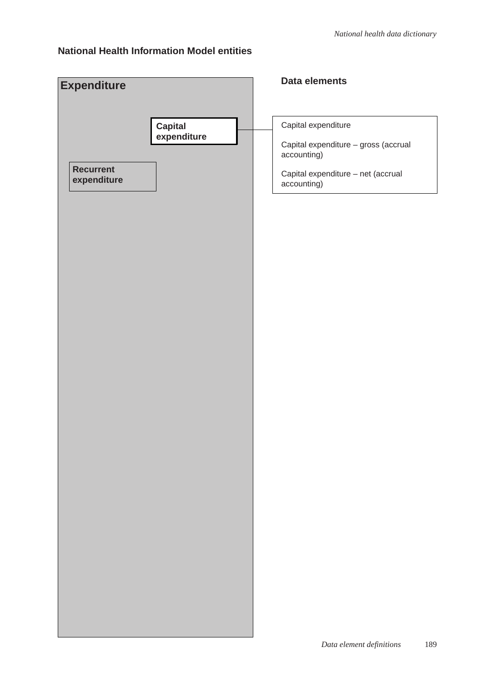#### **National Health Information Model entities**

| <b>Expenditure</b>              | Data elements                                       |
|---------------------------------|-----------------------------------------------------|
|                                 |                                                     |
| Capital<br>expenditure          | Capital expenditure                                 |
|                                 | Capital expenditure - gross (accrual<br>accounting) |
| <b>Recurrent</b><br>expenditure | Capital expenditure - net (accrual<br>accounting)   |
|                                 |                                                     |
|                                 |                                                     |
|                                 |                                                     |
|                                 |                                                     |
|                                 |                                                     |
|                                 |                                                     |
|                                 |                                                     |
|                                 |                                                     |
|                                 |                                                     |
|                                 |                                                     |
|                                 |                                                     |
|                                 |                                                     |
|                                 |                                                     |
|                                 |                                                     |
|                                 |                                                     |
|                                 |                                                     |
|                                 |                                                     |
|                                 |                                                     |
|                                 |                                                     |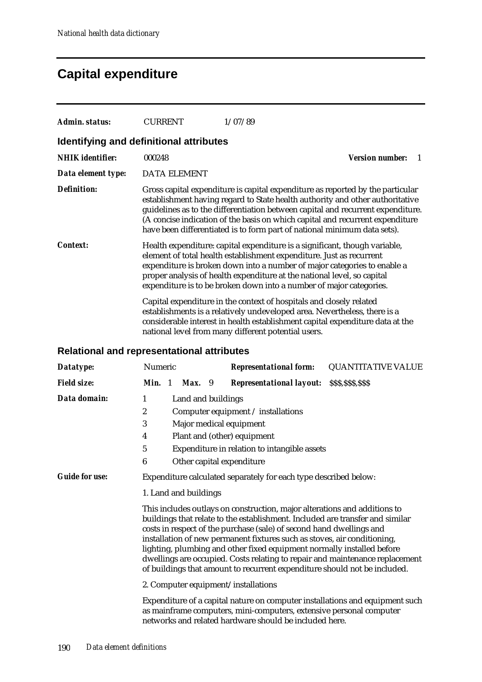#### **Capital expenditure**

| Admin. status:                          | <b>CURRENT</b>      | 1/07/89                                                                                                                                                                                                                                                                                                                                                                                                         |
|-----------------------------------------|---------------------|-----------------------------------------------------------------------------------------------------------------------------------------------------------------------------------------------------------------------------------------------------------------------------------------------------------------------------------------------------------------------------------------------------------------|
| Identifying and definitional attributes |                     |                                                                                                                                                                                                                                                                                                                                                                                                                 |
| <b>NHIK</b> identifier:                 | 000248              | <b>Version number:</b>                                                                                                                                                                                                                                                                                                                                                                                          |
| Data element type:                      | <b>DATA ELEMENT</b> |                                                                                                                                                                                                                                                                                                                                                                                                                 |
| <b>Definition:</b>                      |                     | Gross capital expenditure is capital expenditure as reported by the particular<br>establishment having regard to State health authority and other authoritative<br>guidelines as to the differentiation between capital and recurrent expenditure.<br>(A concise indication of the basis on which capital and recurrent expenditure<br>have been differentiated is to form part of national minimum data sets). |
| <b>Context:</b>                         |                     | Health expenditure: capital expenditure is a significant, though variable,<br>element of total health establishment expenditure. Just as recurrent<br>expenditure is broken down into a number of major categories to enable a<br>proper analysis of health expenditure at the national level, so capital<br>expenditure is to be broken down into a number of major categories.                                |
|                                         |                     | Capital expenditure in the context of hospitals and closely related<br>establishments is a relatively undeveloped area. Nevertheless, there is a<br>considerable interest in health establishment capital expenditure data at the<br>national level from many different potential users.                                                                                                                        |

#### **Relational and representational attributes**

| Datatype:                           | Numeric                                                                                                                                                                                                                                                                                                                                                                                                                                                                                                                                               |  |                       |  | <b>Representational form:</b>                                                                                                                                                                                 | <b>QUANTITATIVE VALUE</b> |
|-------------------------------------|-------------------------------------------------------------------------------------------------------------------------------------------------------------------------------------------------------------------------------------------------------------------------------------------------------------------------------------------------------------------------------------------------------------------------------------------------------------------------------------------------------------------------------------------------------|--|-----------------------|--|---------------------------------------------------------------------------------------------------------------------------------------------------------------------------------------------------------------|---------------------------|
| <b>Field size:</b>                  | Min. 1                                                                                                                                                                                                                                                                                                                                                                                                                                                                                                                                                |  | Max. 9                |  | <b>Representational layout:</b>                                                                                                                                                                               | \$\$\$,\$\$\$,\$\$\$      |
| Data domain:                        | 1                                                                                                                                                                                                                                                                                                                                                                                                                                                                                                                                                     |  | Land and buildings    |  |                                                                                                                                                                                                               |                           |
|                                     | $\boldsymbol{2}$                                                                                                                                                                                                                                                                                                                                                                                                                                                                                                                                      |  |                       |  | Computer equipment / installations                                                                                                                                                                            |                           |
|                                     | 3                                                                                                                                                                                                                                                                                                                                                                                                                                                                                                                                                     |  |                       |  | Major medical equipment                                                                                                                                                                                       |                           |
|                                     | 4                                                                                                                                                                                                                                                                                                                                                                                                                                                                                                                                                     |  |                       |  | Plant and (other) equipment                                                                                                                                                                                   |                           |
|                                     | $\mathbf 5$                                                                                                                                                                                                                                                                                                                                                                                                                                                                                                                                           |  |                       |  | Expenditure in relation to intangible assets                                                                                                                                                                  |                           |
|                                     | $\boldsymbol{6}$                                                                                                                                                                                                                                                                                                                                                                                                                                                                                                                                      |  |                       |  | Other capital expenditure                                                                                                                                                                                     |                           |
| <b>Guide for use:</b>               |                                                                                                                                                                                                                                                                                                                                                                                                                                                                                                                                                       |  |                       |  | Expenditure calculated separately for each type described below:                                                                                                                                              |                           |
|                                     |                                                                                                                                                                                                                                                                                                                                                                                                                                                                                                                                                       |  | 1. Land and buildings |  |                                                                                                                                                                                                               |                           |
|                                     | This includes outlays on construction, major alterations and additions to<br>buildings that relate to the establishment. Included are transfer and similar<br>costs in respect of the purchase (sale) of second hand dwellings and<br>installation of new permanent fixtures such as stoves, air conditioning,<br>lighting, plumbing and other fixed equipment normally installed before<br>dwellings are occupied. Costs relating to repair and maintenance replacement<br>of buildings that amount to recurrent expenditure should not be included. |  |                       |  |                                                                                                                                                                                                               |                           |
| 2. Computer equipment/installations |                                                                                                                                                                                                                                                                                                                                                                                                                                                                                                                                                       |  |                       |  |                                                                                                                                                                                                               |                           |
|                                     |                                                                                                                                                                                                                                                                                                                                                                                                                                                                                                                                                       |  |                       |  | Expenditure of a capital nature on computer installations and equipment such<br>as mainframe computers, mini-computers, extensive personal computer<br>networks and related hardware should be included here. |                           |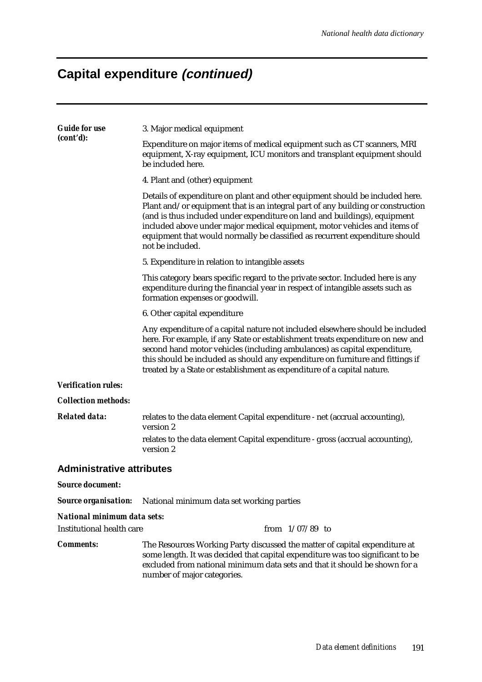## **Capital expenditure (continued)**

| <b>Guide for use</b>             | 3. Major medical equipment                                                                                                                                                                                                                                                                                                                                                                                                   |  |  |  |  |  |  |
|----------------------------------|------------------------------------------------------------------------------------------------------------------------------------------------------------------------------------------------------------------------------------------------------------------------------------------------------------------------------------------------------------------------------------------------------------------------------|--|--|--|--|--|--|
| (cont'd):                        | Expenditure on major items of medical equipment such as CT scanners, MRI<br>equipment, X-ray equipment, ICU monitors and transplant equipment should<br>be included here.                                                                                                                                                                                                                                                    |  |  |  |  |  |  |
|                                  | 4. Plant and (other) equipment                                                                                                                                                                                                                                                                                                                                                                                               |  |  |  |  |  |  |
|                                  | Details of expenditure on plant and other equipment should be included here.<br>Plant and/or equipment that is an integral part of any building or construction<br>(and is thus included under expenditure on land and buildings), equipment<br>included above under major medical equipment, motor vehicles and items of<br>equipment that would normally be classified as recurrent expenditure should<br>not be included. |  |  |  |  |  |  |
|                                  | 5. Expenditure in relation to intangible assets                                                                                                                                                                                                                                                                                                                                                                              |  |  |  |  |  |  |
|                                  | This category bears specific regard to the private sector. Included here is any<br>expenditure during the financial year in respect of intangible assets such as<br>formation expenses or goodwill.                                                                                                                                                                                                                          |  |  |  |  |  |  |
|                                  | 6. Other capital expenditure                                                                                                                                                                                                                                                                                                                                                                                                 |  |  |  |  |  |  |
|                                  | Any expenditure of a capital nature not included elsewhere should be included<br>here. For example, if any State or establishment treats expenditure on new and<br>second hand motor vehicles (including ambulances) as capital expenditure,<br>this should be included as should any expenditure on furniture and fittings if<br>treated by a State or establishment as expenditure of a capital nature.                    |  |  |  |  |  |  |
| <b>Verification rules:</b>       |                                                                                                                                                                                                                                                                                                                                                                                                                              |  |  |  |  |  |  |
| <b>Collection methods:</b>       |                                                                                                                                                                                                                                                                                                                                                                                                                              |  |  |  |  |  |  |
| <b>Related data:</b>             | relates to the data element Capital expenditure - net (accrual accounting),<br>version 2                                                                                                                                                                                                                                                                                                                                     |  |  |  |  |  |  |
|                                  | relates to the data element Capital expenditure - gross (accrual accounting),<br>version 2                                                                                                                                                                                                                                                                                                                                   |  |  |  |  |  |  |
| <b>Administrative attributes</b> |                                                                                                                                                                                                                                                                                                                                                                                                                              |  |  |  |  |  |  |
| <b>Source document:</b>          |                                                                                                                                                                                                                                                                                                                                                                                                                              |  |  |  |  |  |  |
| <b>Source organisation:</b>      | National minimum data set working parties                                                                                                                                                                                                                                                                                                                                                                                    |  |  |  |  |  |  |
| National minimum data sets:      |                                                                                                                                                                                                                                                                                                                                                                                                                              |  |  |  |  |  |  |
| <b>Institutional health care</b> | from $1/07/89$ to                                                                                                                                                                                                                                                                                                                                                                                                            |  |  |  |  |  |  |
| <b>Comments:</b>                 | The Resources Working Party discussed the matter of capital expenditure at<br>some length. It was decided that capital expenditure was too significant to be<br>excluded from national minimum data sets and that it should be shown for a<br>number of major categories.                                                                                                                                                    |  |  |  |  |  |  |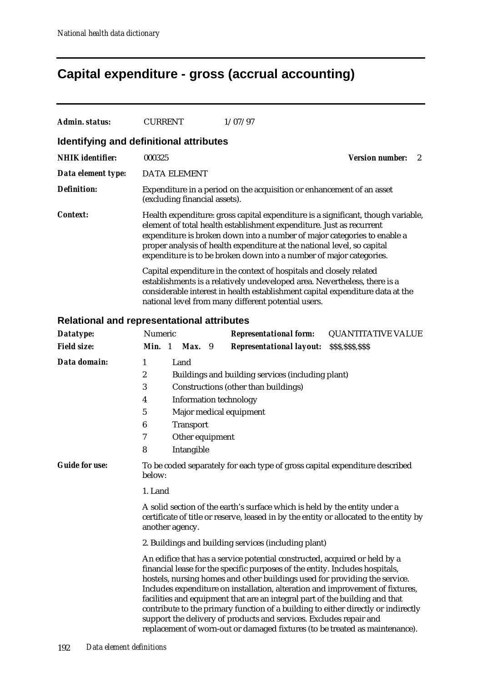### **Capital expenditure - gross (accrual accounting)**

| Admin. status:                          | <b>CURRENT</b>                | 1/07/97                                                                                                                                                                                                                                                                                                                                                                                |                             |
|-----------------------------------------|-------------------------------|----------------------------------------------------------------------------------------------------------------------------------------------------------------------------------------------------------------------------------------------------------------------------------------------------------------------------------------------------------------------------------------|-----------------------------|
| Identifying and definitional attributes |                               |                                                                                                                                                                                                                                                                                                                                                                                        |                             |
| <b>NHIK</b> identifier:                 | 000325                        |                                                                                                                                                                                                                                                                                                                                                                                        | <b>Version number:</b><br>2 |
| Data element type:                      | <b>DATA ELEMENT</b>           |                                                                                                                                                                                                                                                                                                                                                                                        |                             |
| <b>Definition:</b>                      | (excluding financial assets). | Expenditure in a period on the acquisition or enhancement of an asset                                                                                                                                                                                                                                                                                                                  |                             |
| <b>Context:</b>                         |                               | Health expenditure: gross capital expenditure is a significant, though variable,<br>element of total health establishment expenditure. Just as recurrent<br>expenditure is broken down into a number of major categories to enable a<br>proper analysis of health expenditure at the national level, so capital<br>expenditure is to be broken down into a number of major categories. |                             |
|                                         |                               | Capital expenditure in the context of hospitals and closely related<br>establishments is a relatively undeveloped area. Nevertheless, there is a<br>considerable interest in health establishment capital expenditure data at the<br>national level from many different potential users.                                                                                               |                             |

#### **Relational and representational attributes**

| Datatype:             | Numeric                                                                                                                                                                                 | <b>Representational form:</b>                                                                                                                                                                                                                                                                                                                                                                                                                                                                                                                                                                                                                      | <b>QUANTITATIVE VALUE</b> |  |  |  |  |  |  |
|-----------------------|-----------------------------------------------------------------------------------------------------------------------------------------------------------------------------------------|----------------------------------------------------------------------------------------------------------------------------------------------------------------------------------------------------------------------------------------------------------------------------------------------------------------------------------------------------------------------------------------------------------------------------------------------------------------------------------------------------------------------------------------------------------------------------------------------------------------------------------------------------|---------------------------|--|--|--|--|--|--|
| <b>Field size:</b>    | Min. 1<br>Max. 9                                                                                                                                                                        | <b>Representational layout:</b>                                                                                                                                                                                                                                                                                                                                                                                                                                                                                                                                                                                                                    | \$\$\$,\$\$\$,\$\$\$      |  |  |  |  |  |  |
| Data domain:          | Land<br>1                                                                                                                                                                               |                                                                                                                                                                                                                                                                                                                                                                                                                                                                                                                                                                                                                                                    |                           |  |  |  |  |  |  |
|                       | 2                                                                                                                                                                                       | Buildings and building services (including plant)                                                                                                                                                                                                                                                                                                                                                                                                                                                                                                                                                                                                  |                           |  |  |  |  |  |  |
|                       | 3                                                                                                                                                                                       | Constructions (other than buildings)                                                                                                                                                                                                                                                                                                                                                                                                                                                                                                                                                                                                               |                           |  |  |  |  |  |  |
|                       | <b>Information technology</b><br>4                                                                                                                                                      |                                                                                                                                                                                                                                                                                                                                                                                                                                                                                                                                                                                                                                                    |                           |  |  |  |  |  |  |
|                       | 5                                                                                                                                                                                       | Major medical equipment                                                                                                                                                                                                                                                                                                                                                                                                                                                                                                                                                                                                                            |                           |  |  |  |  |  |  |
|                       | $\bf 6$<br><b>Transport</b>                                                                                                                                                             |                                                                                                                                                                                                                                                                                                                                                                                                                                                                                                                                                                                                                                                    |                           |  |  |  |  |  |  |
|                       | 7<br>Other equipment                                                                                                                                                                    |                                                                                                                                                                                                                                                                                                                                                                                                                                                                                                                                                                                                                                                    |                           |  |  |  |  |  |  |
|                       | 8<br>Intangible                                                                                                                                                                         |                                                                                                                                                                                                                                                                                                                                                                                                                                                                                                                                                                                                                                                    |                           |  |  |  |  |  |  |
| <b>Guide for use:</b> | To be coded separately for each type of gross capital expenditure described<br>below:                                                                                                   |                                                                                                                                                                                                                                                                                                                                                                                                                                                                                                                                                                                                                                                    |                           |  |  |  |  |  |  |
|                       | 1. Land                                                                                                                                                                                 |                                                                                                                                                                                                                                                                                                                                                                                                                                                                                                                                                                                                                                                    |                           |  |  |  |  |  |  |
|                       | A solid section of the earth's surface which is held by the entity under a<br>certificate of title or reserve, leased in by the entity or allocated to the entity by<br>another agency. |                                                                                                                                                                                                                                                                                                                                                                                                                                                                                                                                                                                                                                                    |                           |  |  |  |  |  |  |
|                       |                                                                                                                                                                                         | 2. Buildings and building services (including plant)                                                                                                                                                                                                                                                                                                                                                                                                                                                                                                                                                                                               |                           |  |  |  |  |  |  |
|                       |                                                                                                                                                                                         | An edifice that has a service potential constructed, acquired or held by a<br>financial lease for the specific purposes of the entity. Includes hospitals,<br>hostels, nursing homes and other buildings used for providing the service.<br>Includes expenditure on installation, alteration and improvement of fixtures,<br>facilities and equipment that are an integral part of the building and that<br>contribute to the primary function of a building to either directly or indirectly<br>support the delivery of products and services. Excludes repair and<br>replacement of worn-out or damaged fixtures (to be treated as maintenance). |                           |  |  |  |  |  |  |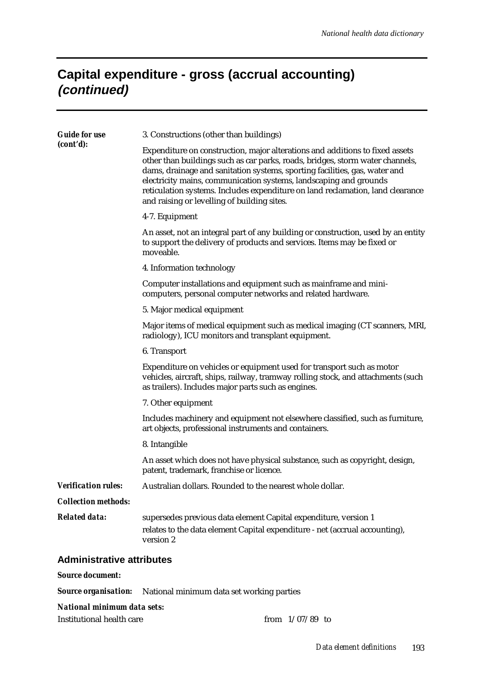#### **Capital expenditure - gross (accrual accounting) (continued)**

| <b>Guide for use</b>             | 3. Constructions (other than buildings)                                                                                                                                                                                                                                                                                                                                                                                                           |  |  |  |  |
|----------------------------------|---------------------------------------------------------------------------------------------------------------------------------------------------------------------------------------------------------------------------------------------------------------------------------------------------------------------------------------------------------------------------------------------------------------------------------------------------|--|--|--|--|
| (cont'd):                        | Expenditure on construction, major alterations and additions to fixed assets<br>other than buildings such as car parks, roads, bridges, storm water channels,<br>dams, drainage and sanitation systems, sporting facilities, gas, water and<br>electricity mains, communication systems, landscaping and grounds<br>reticulation systems. Includes expenditure on land reclamation, land clearance<br>and raising or levelling of building sites. |  |  |  |  |
|                                  | 4-7. Equipment                                                                                                                                                                                                                                                                                                                                                                                                                                    |  |  |  |  |
|                                  | An asset, not an integral part of any building or construction, used by an entity<br>to support the delivery of products and services. Items may be fixed or<br>moveable.                                                                                                                                                                                                                                                                         |  |  |  |  |
|                                  | 4. Information technology                                                                                                                                                                                                                                                                                                                                                                                                                         |  |  |  |  |
|                                  | Computer installations and equipment such as mainframe and mini-<br>computers, personal computer networks and related hardware.                                                                                                                                                                                                                                                                                                                   |  |  |  |  |
|                                  | 5. Major medical equipment                                                                                                                                                                                                                                                                                                                                                                                                                        |  |  |  |  |
|                                  | Major items of medical equipment such as medical imaging (CT scanners, MRI,<br>radiology), ICU monitors and transplant equipment.                                                                                                                                                                                                                                                                                                                 |  |  |  |  |
|                                  | 6. Transport                                                                                                                                                                                                                                                                                                                                                                                                                                      |  |  |  |  |
|                                  | Expenditure on vehicles or equipment used for transport such as motor<br>vehicles, aircraft, ships, railway, tramway rolling stock, and attachments (such<br>as trailers). Includes major parts such as engines.                                                                                                                                                                                                                                  |  |  |  |  |
|                                  | 7. Other equipment                                                                                                                                                                                                                                                                                                                                                                                                                                |  |  |  |  |
|                                  | Includes machinery and equipment not elsewhere classified, such as furniture,<br>art objects, professional instruments and containers.                                                                                                                                                                                                                                                                                                            |  |  |  |  |
|                                  | 8. Intangible                                                                                                                                                                                                                                                                                                                                                                                                                                     |  |  |  |  |
|                                  | An asset which does not have physical substance, such as copyright, design,<br>patent, trademark, franchise or licence.                                                                                                                                                                                                                                                                                                                           |  |  |  |  |
| <b>Verification rules:</b>       | Australian dollars. Rounded to the nearest whole dollar.                                                                                                                                                                                                                                                                                                                                                                                          |  |  |  |  |
| <b>Collection methods:</b>       |                                                                                                                                                                                                                                                                                                                                                                                                                                                   |  |  |  |  |
| <b>Related data:</b>             | supersedes previous data element Capital expenditure, version 1<br>relates to the data element Capital expenditure - net (accrual accounting),<br>version 2                                                                                                                                                                                                                                                                                       |  |  |  |  |
| <b>Administrative attributes</b> |                                                                                                                                                                                                                                                                                                                                                                                                                                                   |  |  |  |  |
| <b>Source document:</b>          |                                                                                                                                                                                                                                                                                                                                                                                                                                                   |  |  |  |  |

#### *Source organisation:* National minimum data set working parties

#### *National minimum data sets:*

| Institutional health care | from $1/07/89$ to |  |
|---------------------------|-------------------|--|
|                           |                   |  |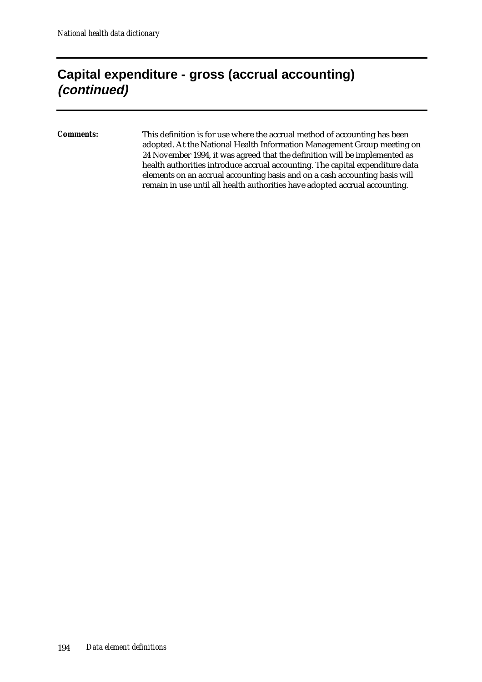#### **Capital expenditure - gross (accrual accounting) (continued)**

*Comments:* This definition is for use where the accrual method of accounting has been adopted. At the National Health Information Management Group meeting on 24 November 1994, it was agreed that the definition will be implemented as health authorities introduce accrual accounting. The capital expenditure data elements on an accrual accounting basis and on a cash accounting basis will remain in use until all health authorities have adopted accrual accounting.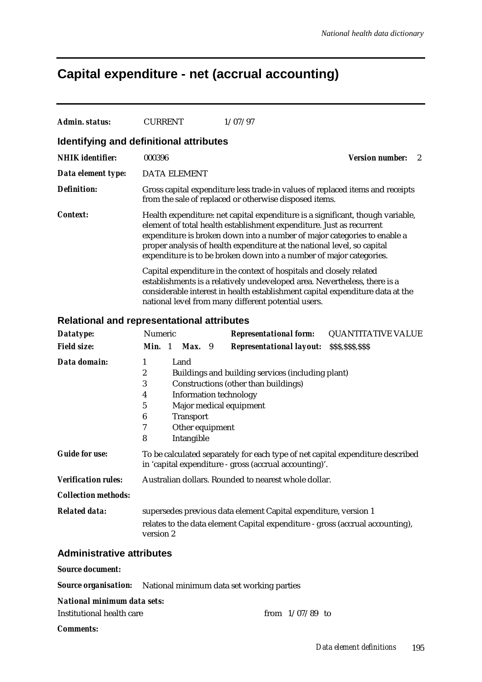#### **Capital expenditure - net (accrual accounting)**

| Admin. status:                          | <b>CURRENT</b>      | 1/07/97                                                                                                                                                                                                                                                                                                                                                                              |                             |
|-----------------------------------------|---------------------|--------------------------------------------------------------------------------------------------------------------------------------------------------------------------------------------------------------------------------------------------------------------------------------------------------------------------------------------------------------------------------------|-----------------------------|
| Identifying and definitional attributes |                     |                                                                                                                                                                                                                                                                                                                                                                                      |                             |
| <b>NHIK</b> identifier:                 | 000396              |                                                                                                                                                                                                                                                                                                                                                                                      | <b>Version number:</b><br>2 |
| Data element type:                      | <b>DATA ELEMENT</b> |                                                                                                                                                                                                                                                                                                                                                                                      |                             |
| <b>Definition:</b>                      |                     | Gross capital expenditure less trade-in values of replaced items and receipts<br>from the sale of replaced or otherwise disposed items.                                                                                                                                                                                                                                              |                             |
| <b>Context:</b>                         |                     | Health expenditure: net capital expenditure is a significant, though variable,<br>element of total health establishment expenditure. Just as recurrent<br>expenditure is broken down into a number of major categories to enable a<br>proper analysis of health expenditure at the national level, so capital<br>expenditure is to be broken down into a number of major categories. |                             |
|                                         |                     | Capital expenditure in the context of hospitals and closely related<br>establishments is a relatively undeveloped area. Nevertheless, there is a<br>considerable interest in health establishment capital expenditure data at the<br>national level from many different potential users.                                                                                             |                             |

#### **Relational and representational attributes**

| Datatype:                  | Numeric          |                  | <b>Representational form:</b>                                                                                                            | <b>QUANTITATIVE VALUE</b> |
|----------------------------|------------------|------------------|------------------------------------------------------------------------------------------------------------------------------------------|---------------------------|
| <b>Field size:</b>         | Min. 1           | Max. 9           | <b>Representational layout:</b>                                                                                                          | \$\$\$,\$\$\$,\$\$\$      |
| Data domain:               | 1                | Land             |                                                                                                                                          |                           |
|                            | $\boldsymbol{2}$ |                  | Buildings and building services (including plant)                                                                                        |                           |
|                            | 3                |                  | Constructions (other than buildings)                                                                                                     |                           |
|                            | 4                |                  | <b>Information technology</b>                                                                                                            |                           |
|                            | 5                |                  | Major medical equipment                                                                                                                  |                           |
|                            | 6                | <b>Transport</b> |                                                                                                                                          |                           |
|                            | 7                | Other equipment  |                                                                                                                                          |                           |
|                            | 8                | Intangible       |                                                                                                                                          |                           |
| <b>Guide for use:</b>      |                  |                  | To be calculated separately for each type of net capital expenditure described<br>in 'capital expenditure - gross (accrual accounting)'. |                           |
| <b>Verification rules:</b> |                  |                  | Australian dollars. Rounded to nearest whole dollar.                                                                                     |                           |
| <b>Collection methods:</b> |                  |                  |                                                                                                                                          |                           |
| <b>Related data:</b>       |                  |                  | supersedes previous data element Capital expenditure, version 1                                                                          |                           |
|                            | version 2        |                  | relates to the data element Capital expenditure - gross (accrual accounting),                                                            |                           |
| Administrative attributes  |                  |                  |                                                                                                                                          |                           |

#### **Administrative attributes**

*Source document:*

|  | <b>Source organisation:</b> National minimum data set working parties |  |
|--|-----------------------------------------------------------------------|--|
|--|-----------------------------------------------------------------------|--|

#### *National minimum data sets:*

| Institutional health care | from $1/07/89$ to |  |
|---------------------------|-------------------|--|
|                           |                   |  |

*Comments:*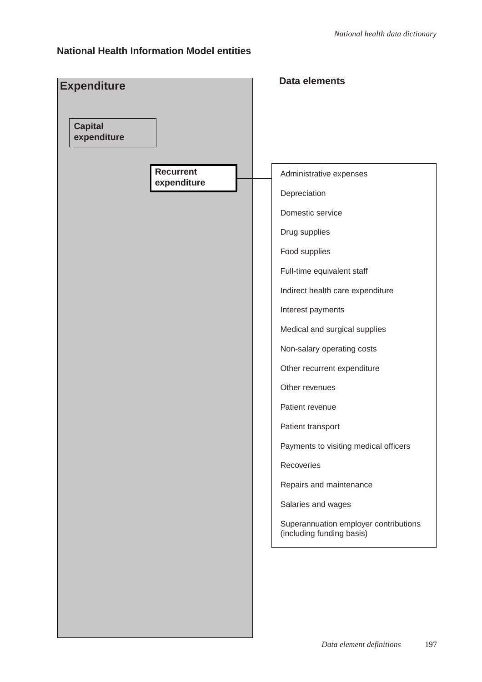#### **National Health Information Model entities**

| <b>Expenditure</b><br><b>Capital</b><br>expenditure | <b>Data elements</b>                                               |
|-----------------------------------------------------|--------------------------------------------------------------------|
| <b>Recurrent</b><br>expenditure                     | Administrative expenses                                            |
|                                                     | Depreciation                                                       |
|                                                     | Domestic service                                                   |
|                                                     | Drug supplies                                                      |
|                                                     | Food supplies                                                      |
|                                                     | Full-time equivalent staff                                         |
|                                                     | Indirect health care expenditure                                   |
|                                                     | Interest payments                                                  |
|                                                     | Medical and surgical supplies                                      |
|                                                     | Non-salary operating costs                                         |
|                                                     | Other recurrent expenditure                                        |
|                                                     | Other revenues                                                     |
|                                                     | Patient revenue                                                    |
|                                                     | Patient transport                                                  |
|                                                     | Payments to visiting medical officers                              |
|                                                     | Recoveries                                                         |
|                                                     | Repairs and maintenance                                            |
|                                                     | Salaries and wages                                                 |
|                                                     | Superannuation employer contributions<br>(including funding basis) |
|                                                     |                                                                    |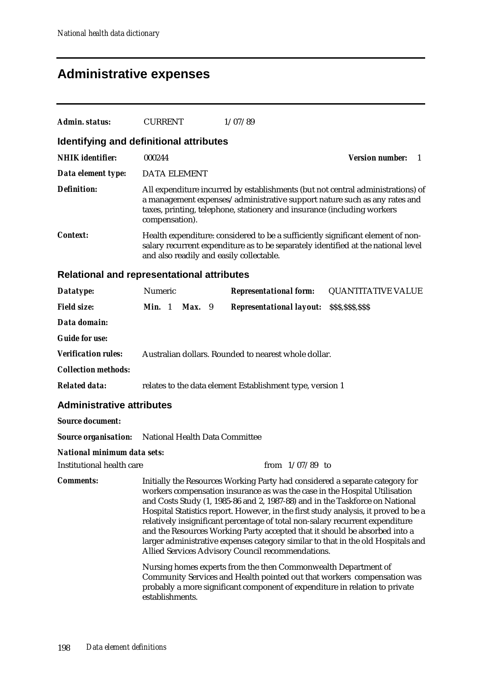## **Administrative expenses**

| Admin. status:                                    | <b>CURRENT</b>                                                                                                                                                                                                                                                                                                                                                                                                                                                                                                                                                                                                                            |                                                                                                                                                                                                                  |                     |  | 1/07/89                                                                                                                                                                                                                  |                                                                                 |  |
|---------------------------------------------------|-------------------------------------------------------------------------------------------------------------------------------------------------------------------------------------------------------------------------------------------------------------------------------------------------------------------------------------------------------------------------------------------------------------------------------------------------------------------------------------------------------------------------------------------------------------------------------------------------------------------------------------------|------------------------------------------------------------------------------------------------------------------------------------------------------------------------------------------------------------------|---------------------|--|--------------------------------------------------------------------------------------------------------------------------------------------------------------------------------------------------------------------------|---------------------------------------------------------------------------------|--|
| Identifying and definitional attributes           |                                                                                                                                                                                                                                                                                                                                                                                                                                                                                                                                                                                                                                           |                                                                                                                                                                                                                  |                     |  |                                                                                                                                                                                                                          |                                                                                 |  |
| <b>NHIK</b> identifier:                           | 000244                                                                                                                                                                                                                                                                                                                                                                                                                                                                                                                                                                                                                                    |                                                                                                                                                                                                                  |                     |  |                                                                                                                                                                                                                          | <b>Version number:</b><br>-1                                                    |  |
| Data element type:                                |                                                                                                                                                                                                                                                                                                                                                                                                                                                                                                                                                                                                                                           |                                                                                                                                                                                                                  | <b>DATA ELEMENT</b> |  |                                                                                                                                                                                                                          |                                                                                 |  |
| <b>Definition:</b>                                | compensation).                                                                                                                                                                                                                                                                                                                                                                                                                                                                                                                                                                                                                            |                                                                                                                                                                                                                  |                     |  | a management expenses/administrative support nature such as any rates and<br>taxes, printing, telephone, stationery and insurance (including workers                                                                     | All expenditure incurred by establishments (but not central administrations) of |  |
| Context:                                          |                                                                                                                                                                                                                                                                                                                                                                                                                                                                                                                                                                                                                                           | Health expenditure: considered to be a sufficiently significant element of non-<br>salary recurrent expenditure as to be separately identified at the national level<br>and also readily and easily collectable. |                     |  |                                                                                                                                                                                                                          |                                                                                 |  |
| <b>Relational and representational attributes</b> |                                                                                                                                                                                                                                                                                                                                                                                                                                                                                                                                                                                                                                           |                                                                                                                                                                                                                  |                     |  |                                                                                                                                                                                                                          |                                                                                 |  |
| Datatype:                                         | Numeric                                                                                                                                                                                                                                                                                                                                                                                                                                                                                                                                                                                                                                   |                                                                                                                                                                                                                  |                     |  | <b>Representational form:</b>                                                                                                                                                                                            | <b>QUANTITATIVE VALUE</b>                                                       |  |
| <b>Field size:</b>                                | Min. 1                                                                                                                                                                                                                                                                                                                                                                                                                                                                                                                                                                                                                                    |                                                                                                                                                                                                                  | $Max.$ 9            |  | <b>Representational layout:</b>                                                                                                                                                                                          | \$\$\$,\$\$\$,\$\$\$                                                            |  |
| Data domain:                                      |                                                                                                                                                                                                                                                                                                                                                                                                                                                                                                                                                                                                                                           |                                                                                                                                                                                                                  |                     |  |                                                                                                                                                                                                                          |                                                                                 |  |
| <b>Guide for use:</b>                             |                                                                                                                                                                                                                                                                                                                                                                                                                                                                                                                                                                                                                                           |                                                                                                                                                                                                                  |                     |  |                                                                                                                                                                                                                          |                                                                                 |  |
| <b>Verification rules:</b>                        |                                                                                                                                                                                                                                                                                                                                                                                                                                                                                                                                                                                                                                           |                                                                                                                                                                                                                  |                     |  | Australian dollars. Rounded to nearest whole dollar.                                                                                                                                                                     |                                                                                 |  |
| <b>Collection methods:</b>                        |                                                                                                                                                                                                                                                                                                                                                                                                                                                                                                                                                                                                                                           |                                                                                                                                                                                                                  |                     |  |                                                                                                                                                                                                                          |                                                                                 |  |
| <b>Related data:</b>                              |                                                                                                                                                                                                                                                                                                                                                                                                                                                                                                                                                                                                                                           |                                                                                                                                                                                                                  |                     |  | relates to the data element Establishment type, version 1                                                                                                                                                                |                                                                                 |  |
| <b>Administrative attributes</b>                  |                                                                                                                                                                                                                                                                                                                                                                                                                                                                                                                                                                                                                                           |                                                                                                                                                                                                                  |                     |  |                                                                                                                                                                                                                          |                                                                                 |  |
| <b>Source document:</b>                           |                                                                                                                                                                                                                                                                                                                                                                                                                                                                                                                                                                                                                                           |                                                                                                                                                                                                                  |                     |  |                                                                                                                                                                                                                          |                                                                                 |  |
| <b>Source organisation:</b>                       |                                                                                                                                                                                                                                                                                                                                                                                                                                                                                                                                                                                                                                           |                                                                                                                                                                                                                  |                     |  | National Health Data Committee                                                                                                                                                                                           |                                                                                 |  |
| <b>National minimum data sets:</b>                |                                                                                                                                                                                                                                                                                                                                                                                                                                                                                                                                                                                                                                           |                                                                                                                                                                                                                  |                     |  |                                                                                                                                                                                                                          |                                                                                 |  |
| <b>Institutional health care</b>                  |                                                                                                                                                                                                                                                                                                                                                                                                                                                                                                                                                                                                                                           |                                                                                                                                                                                                                  |                     |  | from $1/07/89$ to                                                                                                                                                                                                        |                                                                                 |  |
| <b>Comments:</b>                                  | Initially the Resources Working Party had considered a separate category for<br>workers compensation insurance as was the case in the Hospital Utilisation<br>and Costs Study (1, 1985-86 and 2, 1987-88) and in the Taskforce on National<br>Hospital Statistics report. However, in the first study analysis, it proved to be a<br>relatively insignificant percentage of total non-salary recurrent expenditure<br>and the Resources Working Party accepted that it should be absorbed into a<br>larger administrative expenses category similar to that in the old Hospitals and<br>Allied Services Advisory Council recommendations. |                                                                                                                                                                                                                  |                     |  |                                                                                                                                                                                                                          |                                                                                 |  |
|                                                   | establishments.                                                                                                                                                                                                                                                                                                                                                                                                                                                                                                                                                                                                                           |                                                                                                                                                                                                                  |                     |  | Nursing homes experts from the then Commonwealth Department of<br>Community Services and Health pointed out that workers compensation was<br>probably a more significant component of expenditure in relation to private |                                                                                 |  |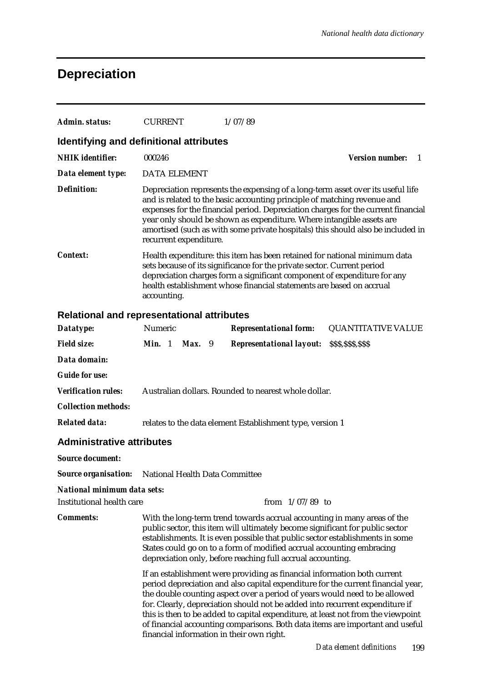## **Depreciation**

| Admin. status:                                    | <b>CURRENT</b>                            | 1/07/89                                                                                                                                                                                                                                                                                                                                                                                                                                                                                         |                             |  |  |  |  |
|---------------------------------------------------|-------------------------------------------|-------------------------------------------------------------------------------------------------------------------------------------------------------------------------------------------------------------------------------------------------------------------------------------------------------------------------------------------------------------------------------------------------------------------------------------------------------------------------------------------------|-----------------------------|--|--|--|--|
| Identifying and definitional attributes           |                                           |                                                                                                                                                                                                                                                                                                                                                                                                                                                                                                 |                             |  |  |  |  |
| <b>NHIK</b> identifier:                           | 000246                                    |                                                                                                                                                                                                                                                                                                                                                                                                                                                                                                 | <b>Version number:</b><br>1 |  |  |  |  |
| Data element type:                                | <b>DATA ELEMENT</b>                       |                                                                                                                                                                                                                                                                                                                                                                                                                                                                                                 |                             |  |  |  |  |
| <b>Definition:</b>                                | recurrent expenditure.                    | Depreciation represents the expensing of a long-term asset over its useful life<br>and is related to the basic accounting principle of matching revenue and<br>expenses for the financial period. Depreciation charges for the current financial<br>year only should be shown as expenditure. Where intangible assets are<br>amortised (such as with some private hospitals) this should also be included in                                                                                    |                             |  |  |  |  |
| <b>Context:</b>                                   | accounting.                               | Health expenditure: this item has been retained for national minimum data<br>sets because of its significance for the private sector. Current period<br>depreciation charges form a significant component of expenditure for any<br>health establishment whose financial statements are based on accrual                                                                                                                                                                                        |                             |  |  |  |  |
| <b>Relational and representational attributes</b> |                                           |                                                                                                                                                                                                                                                                                                                                                                                                                                                                                                 |                             |  |  |  |  |
| Datatype:                                         | Numeric                                   | <b>Representational form:</b>                                                                                                                                                                                                                                                                                                                                                                                                                                                                   | <b>QUANTITATIVE VALUE</b>   |  |  |  |  |
| <b>Field size:</b>                                | Min. 1<br>Max. 9                          | <b>Representational layout:</b>                                                                                                                                                                                                                                                                                                                                                                                                                                                                 | \$\$\$,\$\$\$,\$\$\$        |  |  |  |  |
| Data domain:                                      |                                           |                                                                                                                                                                                                                                                                                                                                                                                                                                                                                                 |                             |  |  |  |  |
| <b>Guide for use:</b>                             |                                           |                                                                                                                                                                                                                                                                                                                                                                                                                                                                                                 |                             |  |  |  |  |
| <b>Verification rules:</b>                        |                                           | Australian dollars. Rounded to nearest whole dollar.                                                                                                                                                                                                                                                                                                                                                                                                                                            |                             |  |  |  |  |
| <b>Collection methods:</b>                        |                                           |                                                                                                                                                                                                                                                                                                                                                                                                                                                                                                 |                             |  |  |  |  |
| <b>Related data:</b>                              |                                           | relates to the data element Establishment type, version 1                                                                                                                                                                                                                                                                                                                                                                                                                                       |                             |  |  |  |  |
| <b>Administrative attributes</b>                  |                                           |                                                                                                                                                                                                                                                                                                                                                                                                                                                                                                 |                             |  |  |  |  |
| <b>Source document:</b>                           |                                           |                                                                                                                                                                                                                                                                                                                                                                                                                                                                                                 |                             |  |  |  |  |
| <b>Source organisation:</b>                       | National Health Data Committee            |                                                                                                                                                                                                                                                                                                                                                                                                                                                                                                 |                             |  |  |  |  |
| National minimum data sets:                       |                                           |                                                                                                                                                                                                                                                                                                                                                                                                                                                                                                 |                             |  |  |  |  |
| <b>Institutional health care</b>                  |                                           | from $1/07/89$ to                                                                                                                                                                                                                                                                                                                                                                                                                                                                               |                             |  |  |  |  |
| <b>Comments:</b>                                  |                                           | With the long-term trend towards accrual accounting in many areas of the<br>public sector, this item will ultimately become significant for public sector<br>establishments. It is even possible that public sector establishments in some<br>States could go on to a form of modified accrual accounting embracing<br>depreciation only, before reaching full accrual accounting.                                                                                                              |                             |  |  |  |  |
|                                                   | financial information in their own right. | If an establishment were providing as financial information both current<br>period depreciation and also capital expenditure for the current financial year,<br>the double counting aspect over a period of years would need to be allowed<br>for. Clearly, depreciation should not be added into recurrent expenditure if<br>this is then to be added to capital expenditure, at least not from the viewpoint<br>of financial accounting comparisons. Both data items are important and useful |                             |  |  |  |  |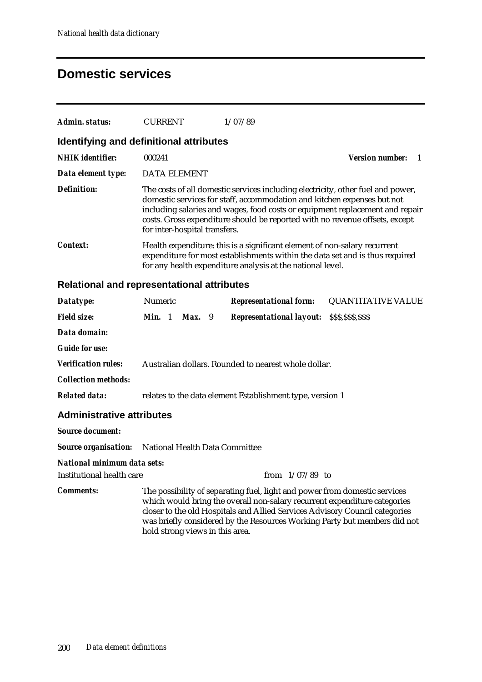#### **Domestic services**

| Admin. status:                                    | <b>CURRENT</b>                                                                                                                                                                                                          |                                                                                                                                                                                                                                                                                                                                                            |  | 1/07/89                                                   |  |                               |  |
|---------------------------------------------------|-------------------------------------------------------------------------------------------------------------------------------------------------------------------------------------------------------------------------|------------------------------------------------------------------------------------------------------------------------------------------------------------------------------------------------------------------------------------------------------------------------------------------------------------------------------------------------------------|--|-----------------------------------------------------------|--|-------------------------------|--|
| <b>Identifying and definitional attributes</b>    |                                                                                                                                                                                                                         |                                                                                                                                                                                                                                                                                                                                                            |  |                                                           |  |                               |  |
| <b>NHIK</b> identifier:                           | 000241                                                                                                                                                                                                                  |                                                                                                                                                                                                                                                                                                                                                            |  |                                                           |  | <b>Version number:</b><br>- 1 |  |
| Data element type:                                | <b>DATA ELEMENT</b>                                                                                                                                                                                                     |                                                                                                                                                                                                                                                                                                                                                            |  |                                                           |  |                               |  |
| <b>Definition:</b>                                |                                                                                                                                                                                                                         | The costs of all domestic services including electricity, other fuel and power,<br>domestic services for staff, accommodation and kitchen expenses but not<br>including salaries and wages, food costs or equipment replacement and repair<br>costs. Gross expenditure should be reported with no revenue offsets, except<br>for inter-hospital transfers. |  |                                                           |  |                               |  |
| <b>Context:</b>                                   | Health expenditure: this is a significant element of non-salary recurrent<br>expenditure for most establishments within the data set and is thus required<br>for any health expenditure analysis at the national level. |                                                                                                                                                                                                                                                                                                                                                            |  |                                                           |  |                               |  |
| <b>Relational and representational attributes</b> |                                                                                                                                                                                                                         |                                                                                                                                                                                                                                                                                                                                                            |  |                                                           |  |                               |  |
| Datatype:                                         | Numeric                                                                                                                                                                                                                 |                                                                                                                                                                                                                                                                                                                                                            |  | <b>Representational form:</b>                             |  | <b>QUANTITATIVE VALUE</b>     |  |
| <b>Field size:</b>                                | Min. 1                                                                                                                                                                                                                  | <b>Max.</b> 9                                                                                                                                                                                                                                                                                                                                              |  | <b>Representational layout:</b>                           |  | \$\$\$,\$\$\$,\$\$\$          |  |
| Data domain:                                      |                                                                                                                                                                                                                         |                                                                                                                                                                                                                                                                                                                                                            |  |                                                           |  |                               |  |
| <b>Guide for use:</b>                             |                                                                                                                                                                                                                         |                                                                                                                                                                                                                                                                                                                                                            |  |                                                           |  |                               |  |
| <b>Verification rules:</b>                        |                                                                                                                                                                                                                         |                                                                                                                                                                                                                                                                                                                                                            |  | Australian dollars. Rounded to nearest whole dollar.      |  |                               |  |
| <b>Collection methods:</b>                        |                                                                                                                                                                                                                         |                                                                                                                                                                                                                                                                                                                                                            |  |                                                           |  |                               |  |
| <b>Related data:</b>                              |                                                                                                                                                                                                                         |                                                                                                                                                                                                                                                                                                                                                            |  | relates to the data element Establishment type, version 1 |  |                               |  |
| <b>Administrative attributes</b>                  |                                                                                                                                                                                                                         |                                                                                                                                                                                                                                                                                                                                                            |  |                                                           |  |                               |  |
| <b>Source document:</b>                           |                                                                                                                                                                                                                         |                                                                                                                                                                                                                                                                                                                                                            |  |                                                           |  |                               |  |
| <b>Source organisation:</b>                       | National Health Data Committee                                                                                                                                                                                          |                                                                                                                                                                                                                                                                                                                                                            |  |                                                           |  |                               |  |
| National minimum data sets:                       |                                                                                                                                                                                                                         |                                                                                                                                                                                                                                                                                                                                                            |  |                                                           |  |                               |  |
| <b>Institutional health care</b>                  |                                                                                                                                                                                                                         |                                                                                                                                                                                                                                                                                                                                                            |  | from $1/07/89$ to                                         |  |                               |  |
| <b>Comments:</b>                                  |                                                                                                                                                                                                                         | The possibility of separating fuel, light and power from domestic services<br>which would bring the overall non-salary recurrent expenditure categories                                                                                                                                                                                                    |  |                                                           |  |                               |  |

closer to the old Hospitals and Allied Services Advisory Council categories was briefly considered by the Resources Working Party but members did not

hold strong views in this area.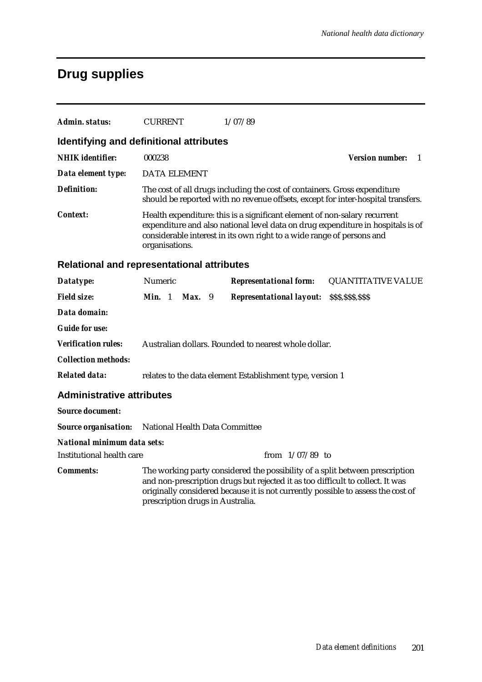## **Drug supplies**

| Admin. status:                                    | <b>CURRENT</b>                                                                                                                                                                                                                                                                         |        |  | 1/07/89                                                   |                   |                                                                                                                                                               |  |
|---------------------------------------------------|----------------------------------------------------------------------------------------------------------------------------------------------------------------------------------------------------------------------------------------------------------------------------------------|--------|--|-----------------------------------------------------------|-------------------|---------------------------------------------------------------------------------------------------------------------------------------------------------------|--|
| Identifying and definitional attributes           |                                                                                                                                                                                                                                                                                        |        |  |                                                           |                   |                                                                                                                                                               |  |
| <b>NHIK</b> identifier:                           | 000238                                                                                                                                                                                                                                                                                 |        |  |                                                           |                   | <b>Version number:</b><br>1                                                                                                                                   |  |
| Data element type:                                | <b>DATA ELEMENT</b>                                                                                                                                                                                                                                                                    |        |  |                                                           |                   |                                                                                                                                                               |  |
| <b>Definition:</b>                                |                                                                                                                                                                                                                                                                                        |        |  |                                                           |                   | The cost of all drugs including the cost of containers. Gross expenditure<br>should be reported with no revenue offsets, except for inter-hospital transfers. |  |
| <b>Context:</b>                                   | Health expenditure: this is a significant element of non-salary recurrent<br>expenditure and also national level data on drug expenditure in hospitals is of<br>considerable interest in its own right to a wide range of persons and<br>organisations.                                |        |  |                                                           |                   |                                                                                                                                                               |  |
| <b>Relational and representational attributes</b> |                                                                                                                                                                                                                                                                                        |        |  |                                                           |                   |                                                                                                                                                               |  |
| Datatype:                                         | Numeric                                                                                                                                                                                                                                                                                |        |  | <b>Representational form:</b>                             |                   | <b>QUANTITATIVE VALUE</b>                                                                                                                                     |  |
| <b>Field size:</b>                                | <b>Min.</b> 1                                                                                                                                                                                                                                                                          | Max. 9 |  | <b>Representational layout: SSS, SSS, SSS</b>             |                   |                                                                                                                                                               |  |
| Data domain:                                      |                                                                                                                                                                                                                                                                                        |        |  |                                                           |                   |                                                                                                                                                               |  |
| <b>Guide for use:</b>                             |                                                                                                                                                                                                                                                                                        |        |  |                                                           |                   |                                                                                                                                                               |  |
| <b>Verification rules:</b>                        |                                                                                                                                                                                                                                                                                        |        |  | Australian dollars. Rounded to nearest whole dollar.      |                   |                                                                                                                                                               |  |
| <b>Collection methods:</b>                        |                                                                                                                                                                                                                                                                                        |        |  |                                                           |                   |                                                                                                                                                               |  |
| <b>Related data:</b>                              |                                                                                                                                                                                                                                                                                        |        |  | relates to the data element Establishment type, version 1 |                   |                                                                                                                                                               |  |
| <b>Administrative attributes</b>                  |                                                                                                                                                                                                                                                                                        |        |  |                                                           |                   |                                                                                                                                                               |  |
| <b>Source document:</b>                           |                                                                                                                                                                                                                                                                                        |        |  |                                                           |                   |                                                                                                                                                               |  |
| <b>Source organisation:</b>                       | National Health Data Committee                                                                                                                                                                                                                                                         |        |  |                                                           |                   |                                                                                                                                                               |  |
| <b>National minimum data sets:</b>                |                                                                                                                                                                                                                                                                                        |        |  |                                                           |                   |                                                                                                                                                               |  |
| <b>Institutional health care</b>                  |                                                                                                                                                                                                                                                                                        |        |  |                                                           | from $1/07/89$ to |                                                                                                                                                               |  |
| <b>Comments:</b>                                  | The working party considered the possibility of a split between prescription<br>and non-prescription drugs but rejected it as too difficult to collect. It was<br>originally considered because it is not currently possible to assess the cost of<br>prescription drugs in Australia. |        |  |                                                           |                   |                                                                                                                                                               |  |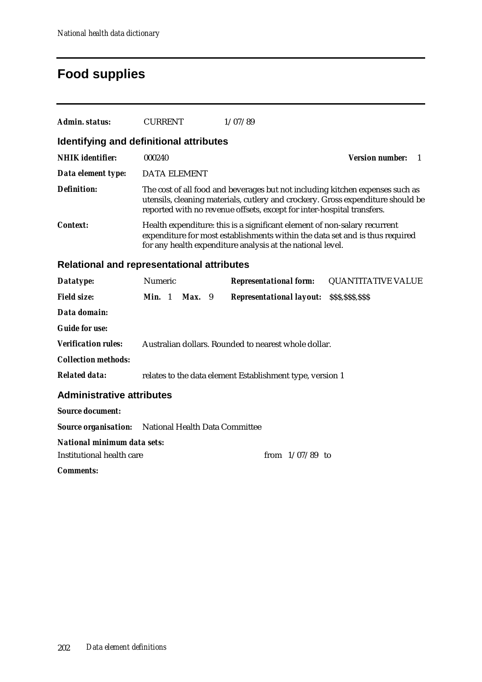## **Food supplies**

| Admin. status:                                                  | <b>CURRENT</b>                                                                                                                                                                                                          |                                                                                                                                                                                                                                            |  | 1/07/89                                                   |                               |  |  |  |  |
|-----------------------------------------------------------------|-------------------------------------------------------------------------------------------------------------------------------------------------------------------------------------------------------------------------|--------------------------------------------------------------------------------------------------------------------------------------------------------------------------------------------------------------------------------------------|--|-----------------------------------------------------------|-------------------------------|--|--|--|--|
|                                                                 | Identifying and definitional attributes                                                                                                                                                                                 |                                                                                                                                                                                                                                            |  |                                                           |                               |  |  |  |  |
| <b>NHIK</b> identifier:                                         | 000240                                                                                                                                                                                                                  |                                                                                                                                                                                                                                            |  |                                                           | <b>Version number:</b><br>- 1 |  |  |  |  |
| Data element type:                                              |                                                                                                                                                                                                                         | <b>DATA ELEMENT</b>                                                                                                                                                                                                                        |  |                                                           |                               |  |  |  |  |
| <b>Definition:</b>                                              |                                                                                                                                                                                                                         | The cost of all food and beverages but not including kitchen expenses such as<br>utensils, cleaning materials, cutlery and crockery. Gross expenditure should be<br>reported with no revenue offsets, except for inter-hospital transfers. |  |                                                           |                               |  |  |  |  |
| <b>Context:</b>                                                 | Health expenditure: this is a significant element of non-salary recurrent<br>expenditure for most establishments within the data set and is thus required<br>for any health expenditure analysis at the national level. |                                                                                                                                                                                                                                            |  |                                                           |                               |  |  |  |  |
| Relational and representational attributes                      |                                                                                                                                                                                                                         |                                                                                                                                                                                                                                            |  |                                                           |                               |  |  |  |  |
| Datatype:                                                       | Numeric                                                                                                                                                                                                                 |                                                                                                                                                                                                                                            |  | <b>Representational form:</b>                             | <b>QUANTITATIVE VALUE</b>     |  |  |  |  |
| <b>Field size:</b>                                              |                                                                                                                                                                                                                         | <b>Min.</b> 1 <b>Max.</b> 9                                                                                                                                                                                                                |  | <b>Representational layout:</b>                           | \$\$\$,\$\$\$,\$\$\$          |  |  |  |  |
| Data domain:                                                    |                                                                                                                                                                                                                         |                                                                                                                                                                                                                                            |  |                                                           |                               |  |  |  |  |
| <b>Guide for use:</b>                                           |                                                                                                                                                                                                                         |                                                                                                                                                                                                                                            |  |                                                           |                               |  |  |  |  |
| <b>Verification rules:</b>                                      |                                                                                                                                                                                                                         |                                                                                                                                                                                                                                            |  | Australian dollars. Rounded to nearest whole dollar.      |                               |  |  |  |  |
| <b>Collection methods:</b>                                      |                                                                                                                                                                                                                         |                                                                                                                                                                                                                                            |  |                                                           |                               |  |  |  |  |
| <b>Related data:</b>                                            |                                                                                                                                                                                                                         |                                                                                                                                                                                                                                            |  | relates to the data element Establishment type, version 1 |                               |  |  |  |  |
| <b>Administrative attributes</b>                                |                                                                                                                                                                                                                         |                                                                                                                                                                                                                                            |  |                                                           |                               |  |  |  |  |
| <b>Source document:</b>                                         |                                                                                                                                                                                                                         |                                                                                                                                                                                                                                            |  |                                                           |                               |  |  |  |  |
| <b>Source organisation:</b>                                     |                                                                                                                                                                                                                         |                                                                                                                                                                                                                                            |  | National Health Data Committee                            |                               |  |  |  |  |
| National minimum data sets:<br><b>Institutional health care</b> |                                                                                                                                                                                                                         |                                                                                                                                                                                                                                            |  | from $1/07/89$ to                                         |                               |  |  |  |  |
| <i>Comments:</i>                                                |                                                                                                                                                                                                                         |                                                                                                                                                                                                                                            |  |                                                           |                               |  |  |  |  |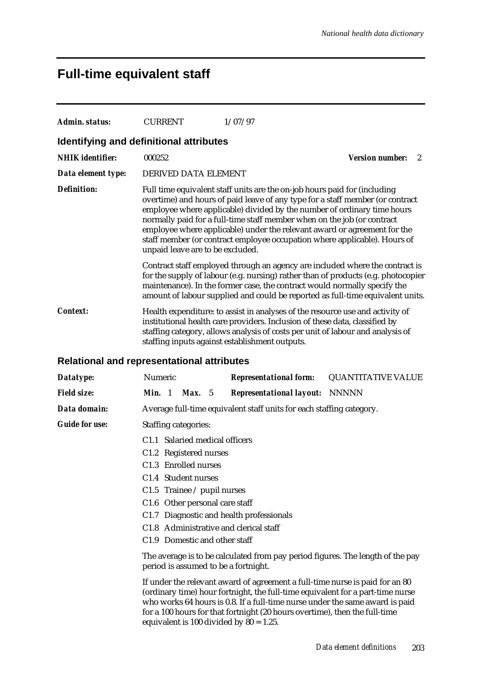#### **Full-time equivalent staff**

| Admin. status:                                    | <b>CURRENT</b>                                                                                                                                                                                                                                                                                                                                                                                                                                                                                                |                 |  | 1/07/97                                                                                                                                                                                                                                                                                                                          |  |  |                           |   |
|---------------------------------------------------|---------------------------------------------------------------------------------------------------------------------------------------------------------------------------------------------------------------------------------------------------------------------------------------------------------------------------------------------------------------------------------------------------------------------------------------------------------------------------------------------------------------|-----------------|--|----------------------------------------------------------------------------------------------------------------------------------------------------------------------------------------------------------------------------------------------------------------------------------------------------------------------------------|--|--|---------------------------|---|
| Identifying and definitional attributes           |                                                                                                                                                                                                                                                                                                                                                                                                                                                                                                               |                 |  |                                                                                                                                                                                                                                                                                                                                  |  |  |                           |   |
| <b>NHIK</b> identifier:                           | 000252                                                                                                                                                                                                                                                                                                                                                                                                                                                                                                        |                 |  |                                                                                                                                                                                                                                                                                                                                  |  |  | <b>Version number:</b>    | 2 |
| Data element type:                                | DERIVED DATA ELEMENT                                                                                                                                                                                                                                                                                                                                                                                                                                                                                          |                 |  |                                                                                                                                                                                                                                                                                                                                  |  |  |                           |   |
| <b>Definition:</b>                                | Full time equivalent staff units are the on-job hours paid for (including<br>overtime) and hours of paid leave of any type for a staff member (or contract<br>employee where applicable) divided by the number of ordinary time hours<br>normally paid for a full-time staff member when on the job (or contract<br>employee where applicable) under the relevant award or agreement for the<br>staff member (or contract employee occupation where applicable). Hours of<br>unpaid leave are to be excluded. |                 |  |                                                                                                                                                                                                                                                                                                                                  |  |  |                           |   |
|                                                   |                                                                                                                                                                                                                                                                                                                                                                                                                                                                                                               |                 |  | Contract staff employed through an agency are included where the contract is<br>for the supply of labour (e.g. nursing) rather than of products (e.g. photocopier<br>maintenance). In the former case, the contract would normally specify the<br>amount of labour supplied and could be reported as full-time equivalent units. |  |  |                           |   |
| <b>Context:</b>                                   | Health expenditure: to assist in analyses of the resource use and activity of<br>institutional health care providers. Inclusion of these data, classified by<br>staffing category, allows analysis of costs per unit of labour and analysis of<br>staffing inputs against establishment outputs.                                                                                                                                                                                                              |                 |  |                                                                                                                                                                                                                                                                                                                                  |  |  |                           |   |
| <b>Relational and representational attributes</b> |                                                                                                                                                                                                                                                                                                                                                                                                                                                                                                               |                 |  |                                                                                                                                                                                                                                                                                                                                  |  |  |                           |   |
| Datatype:                                         | Numeric                                                                                                                                                                                                                                                                                                                                                                                                                                                                                                       |                 |  | <b>Representational form:</b>                                                                                                                                                                                                                                                                                                    |  |  | <b>QUANTITATIVE VALUE</b> |   |
| <b>Field size:</b>                                | Min. 1                                                                                                                                                                                                                                                                                                                                                                                                                                                                                                        | <b>Max.</b> $5$ |  | <b>Representational layout: NNNNN</b>                                                                                                                                                                                                                                                                                            |  |  |                           |   |
| Data domain:                                      |                                                                                                                                                                                                                                                                                                                                                                                                                                                                                                               |                 |  | Average full-time equivalent staff units for each staffing category.                                                                                                                                                                                                                                                             |  |  |                           |   |
| <b>Guide for use:</b>                             | <b>Staffing categories:</b>                                                                                                                                                                                                                                                                                                                                                                                                                                                                                   |                 |  |                                                                                                                                                                                                                                                                                                                                  |  |  |                           |   |
|                                                   | C1.1 Salaried medical officers                                                                                                                                                                                                                                                                                                                                                                                                                                                                                |                 |  |                                                                                                                                                                                                                                                                                                                                  |  |  |                           |   |
|                                                   | C1.2 Registered nurses                                                                                                                                                                                                                                                                                                                                                                                                                                                                                        |                 |  |                                                                                                                                                                                                                                                                                                                                  |  |  |                           |   |
|                                                   | C1.3 Enrolled nurses                                                                                                                                                                                                                                                                                                                                                                                                                                                                                          |                 |  |                                                                                                                                                                                                                                                                                                                                  |  |  |                           |   |
|                                                   | C1.4 Student nurses                                                                                                                                                                                                                                                                                                                                                                                                                                                                                           |                 |  |                                                                                                                                                                                                                                                                                                                                  |  |  |                           |   |
|                                                   | C1.5 Trainee $\ell$ pupil nurses                                                                                                                                                                                                                                                                                                                                                                                                                                                                              |                 |  |                                                                                                                                                                                                                                                                                                                                  |  |  |                           |   |
|                                                   | C1.6 Other personal care staff                                                                                                                                                                                                                                                                                                                                                                                                                                                                                |                 |  | C1.7 Diagnostic and health professionals                                                                                                                                                                                                                                                                                         |  |  |                           |   |
|                                                   |                                                                                                                                                                                                                                                                                                                                                                                                                                                                                                               |                 |  | C1.8 Administrative and clerical staff                                                                                                                                                                                                                                                                                           |  |  |                           |   |
|                                                   | C1.9 Domestic and other staff                                                                                                                                                                                                                                                                                                                                                                                                                                                                                 |                 |  |                                                                                                                                                                                                                                                                                                                                  |  |  |                           |   |
|                                                   | period is assumed to be a fortnight.                                                                                                                                                                                                                                                                                                                                                                                                                                                                          |                 |  | The average is to be calculated from pay period figures. The length of the pay                                                                                                                                                                                                                                                   |  |  |                           |   |
|                                                   |                                                                                                                                                                                                                                                                                                                                                                                                                                                                                                               |                 |  | If under the relevant award of agreement a full-time nurse is paid for an 80<br>(ordinary time) hour fortnight, the full-time equivalent for a part-time nurse<br>who works 64 hours is 0.8. If a full-time nurse under the same award is paid<br>for a 100 hours for that fortnight (20 hours overtime), then the full-time     |  |  |                           |   |

equivalent is 100 divided by  $80 = 1.25$ .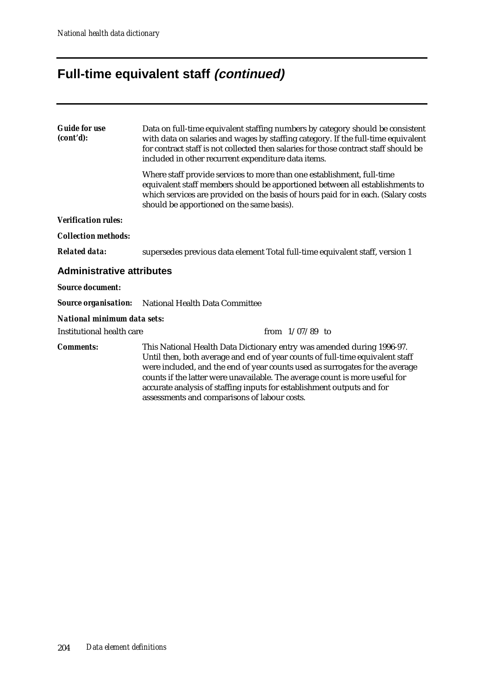## **Full-time equivalent staff (continued)**

| <b>Guide for use</b><br>(cont'd):  | Data on full-time equivalent staffing numbers by category should be consistent<br>with data on salaries and wages by staffing category. If the full-time equivalent<br>for contract staff is not collected then salaries for those contract staff should be<br>included in other recurrent expenditure data items.                                                                                                                               |  |  |  |  |  |
|------------------------------------|--------------------------------------------------------------------------------------------------------------------------------------------------------------------------------------------------------------------------------------------------------------------------------------------------------------------------------------------------------------------------------------------------------------------------------------------------|--|--|--|--|--|
|                                    | Where staff provide services to more than one establishment, full-time<br>equivalent staff members should be apportioned between all establishments to<br>which services are provided on the basis of hours paid for in each. (Salary costs<br>should be apportioned on the same basis).                                                                                                                                                         |  |  |  |  |  |
| <b>Verification rules:</b>         |                                                                                                                                                                                                                                                                                                                                                                                                                                                  |  |  |  |  |  |
| <b>Collection methods:</b>         |                                                                                                                                                                                                                                                                                                                                                                                                                                                  |  |  |  |  |  |
| <b>Related data:</b>               | supersedes previous data element Total full-time equivalent staff, version 1                                                                                                                                                                                                                                                                                                                                                                     |  |  |  |  |  |
| <b>Administrative attributes</b>   |                                                                                                                                                                                                                                                                                                                                                                                                                                                  |  |  |  |  |  |
| <b>Source document:</b>            |                                                                                                                                                                                                                                                                                                                                                                                                                                                  |  |  |  |  |  |
| <b>Source organisation:</b>        | National Health Data Committee                                                                                                                                                                                                                                                                                                                                                                                                                   |  |  |  |  |  |
| <b>National minimum data sets:</b> |                                                                                                                                                                                                                                                                                                                                                                                                                                                  |  |  |  |  |  |
| Institutional health care          | from $1/07/89$ to                                                                                                                                                                                                                                                                                                                                                                                                                                |  |  |  |  |  |
| <b>Comments:</b>                   | This National Health Data Dictionary entry was amended during 1996-97.<br>Until then, both average and end of year counts of full-time equivalent staff<br>were included, and the end of year counts used as surrogates for the average<br>counts if the latter were unavailable. The average count is more useful for<br>accurate analysis of staffing inputs for establishment outputs and for<br>assessments and comparisons of labour costs. |  |  |  |  |  |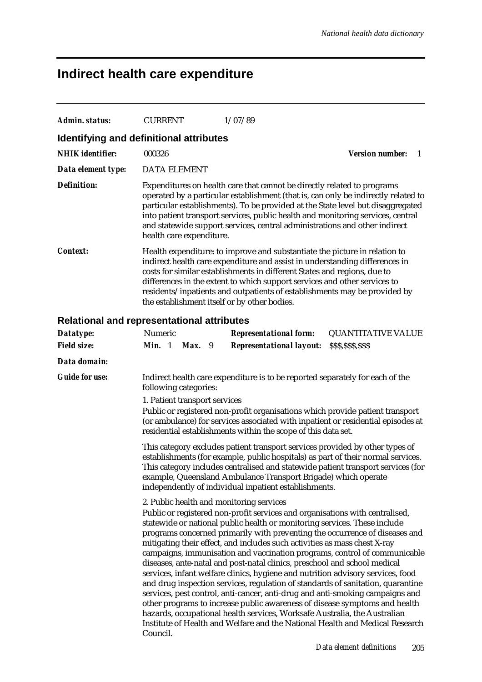# **Indirect health care expenditure**

| <b>Admin. status:</b>                             | <b>CURRENT</b>                                                                                                                                                                                                                                                                                                                                                                                                                                  |                                                                                                                                                                                                                                                                                                                                                                                                                                                                                                                                                                                                                                                                                                                                                                                                                                                                                                                                                                                                                               |  | 1/07/89                                                                                                                                                                                                                                  |                                                                                                                                                                       |  |  |
|---------------------------------------------------|-------------------------------------------------------------------------------------------------------------------------------------------------------------------------------------------------------------------------------------------------------------------------------------------------------------------------------------------------------------------------------------------------------------------------------------------------|-------------------------------------------------------------------------------------------------------------------------------------------------------------------------------------------------------------------------------------------------------------------------------------------------------------------------------------------------------------------------------------------------------------------------------------------------------------------------------------------------------------------------------------------------------------------------------------------------------------------------------------------------------------------------------------------------------------------------------------------------------------------------------------------------------------------------------------------------------------------------------------------------------------------------------------------------------------------------------------------------------------------------------|--|------------------------------------------------------------------------------------------------------------------------------------------------------------------------------------------------------------------------------------------|-----------------------------------------------------------------------------------------------------------------------------------------------------------------------|--|--|
| Identifying and definitional attributes           |                                                                                                                                                                                                                                                                                                                                                                                                                                                 |                                                                                                                                                                                                                                                                                                                                                                                                                                                                                                                                                                                                                                                                                                                                                                                                                                                                                                                                                                                                                               |  |                                                                                                                                                                                                                                          |                                                                                                                                                                       |  |  |
| <b>NHIK</b> identifier:                           | 000326                                                                                                                                                                                                                                                                                                                                                                                                                                          |                                                                                                                                                                                                                                                                                                                                                                                                                                                                                                                                                                                                                                                                                                                                                                                                                                                                                                                                                                                                                               |  |                                                                                                                                                                                                                                          | <b>Version number:</b><br>-1                                                                                                                                          |  |  |
| Data element type:                                | <b>DATA ELEMENT</b>                                                                                                                                                                                                                                                                                                                                                                                                                             |                                                                                                                                                                                                                                                                                                                                                                                                                                                                                                                                                                                                                                                                                                                                                                                                                                                                                                                                                                                                                               |  |                                                                                                                                                                                                                                          |                                                                                                                                                                       |  |  |
| <b>Definition:</b>                                | health care expenditure.                                                                                                                                                                                                                                                                                                                                                                                                                        |                                                                                                                                                                                                                                                                                                                                                                                                                                                                                                                                                                                                                                                                                                                                                                                                                                                                                                                                                                                                                               |  | Expenditures on health care that cannot be directly related to programs<br>into patient transport services, public health and monitoring services, central<br>and statewide support services, central administrations and other indirect | operated by a particular establishment (that is, can only be indirectly related to<br>particular establishments). To be provided at the State level but disaggregated |  |  |
| <b>Context:</b>                                   | Health expenditure: to improve and substantiate the picture in relation to<br>indirect health care expenditure and assist in understanding differences in<br>costs for similar establishments in different States and regions, due to<br>differences in the extent to which support services and other services to<br>residents/inpatients and outpatients of establishments may be provided by<br>the establishment itself or by other bodies. |                                                                                                                                                                                                                                                                                                                                                                                                                                                                                                                                                                                                                                                                                                                                                                                                                                                                                                                                                                                                                               |  |                                                                                                                                                                                                                                          |                                                                                                                                                                       |  |  |
| <b>Relational and representational attributes</b> |                                                                                                                                                                                                                                                                                                                                                                                                                                                 |                                                                                                                                                                                                                                                                                                                                                                                                                                                                                                                                                                                                                                                                                                                                                                                                                                                                                                                                                                                                                               |  |                                                                                                                                                                                                                                          |                                                                                                                                                                       |  |  |
| Datatype:                                         | Numeric                                                                                                                                                                                                                                                                                                                                                                                                                                         |                                                                                                                                                                                                                                                                                                                                                                                                                                                                                                                                                                                                                                                                                                                                                                                                                                                                                                                                                                                                                               |  | <b>Representational form:</b>                                                                                                                                                                                                            | <b>QUANTITATIVE VALUE</b>                                                                                                                                             |  |  |
| <b>Field size:</b>                                | Min. 1                                                                                                                                                                                                                                                                                                                                                                                                                                          | Max. 9                                                                                                                                                                                                                                                                                                                                                                                                                                                                                                                                                                                                                                                                                                                                                                                                                                                                                                                                                                                                                        |  | <b>Representational layout:</b>                                                                                                                                                                                                          | \$\$\$,\$\$\$,\$\$\$                                                                                                                                                  |  |  |
| Data domain:                                      |                                                                                                                                                                                                                                                                                                                                                                                                                                                 |                                                                                                                                                                                                                                                                                                                                                                                                                                                                                                                                                                                                                                                                                                                                                                                                                                                                                                                                                                                                                               |  |                                                                                                                                                                                                                                          |                                                                                                                                                                       |  |  |
| <b>Guide for use:</b>                             | following categories:                                                                                                                                                                                                                                                                                                                                                                                                                           |                                                                                                                                                                                                                                                                                                                                                                                                                                                                                                                                                                                                                                                                                                                                                                                                                                                                                                                                                                                                                               |  | Indirect health care expenditure is to be reported separately for each of the                                                                                                                                                            |                                                                                                                                                                       |  |  |
|                                                   | 1. Patient transport services                                                                                                                                                                                                                                                                                                                                                                                                                   |                                                                                                                                                                                                                                                                                                                                                                                                                                                                                                                                                                                                                                                                                                                                                                                                                                                                                                                                                                                                                               |  | Public or registered non-profit organisations which provide patient transport<br>residential establishments within the scope of this data set.                                                                                           | (or ambulance) for services associated with inpatient or residential episodes at                                                                                      |  |  |
|                                                   | This category excludes patient transport services provided by other types of<br>establishments (for example, public hospitals) as part of their normal services.<br>This category includes centralised and statewide patient transport services (for<br>example, Queensland Ambulance Transport Brigade) which operate<br>independently of individual inpatient establishments.                                                                 |                                                                                                                                                                                                                                                                                                                                                                                                                                                                                                                                                                                                                                                                                                                                                                                                                                                                                                                                                                                                                               |  |                                                                                                                                                                                                                                          |                                                                                                                                                                       |  |  |
|                                                   | Council.                                                                                                                                                                                                                                                                                                                                                                                                                                        | 2. Public health and monitoring services<br>Public or registered non-profit services and organisations with centralised,<br>statewide or national public health or monitoring services. These include<br>programs concerned primarily with preventing the occurrence of diseases and<br>mitigating their effect, and includes such activities as mass chest X-ray<br>campaigns, immunisation and vaccination programs, control of communicable<br>diseases, ante-natal and post-natal clinics, preschool and school medical<br>services, infant welfare clinics, hygiene and nutrition advisory services, food<br>and drug inspection services, regulation of standards of sanitation, quarantine<br>services, pest control, anti-cancer, anti-drug and anti-smoking campaigns and<br>other programs to increase public awareness of disease symptoms and health<br>hazards, occupational health services, Worksafe Australia, the Australian<br>Institute of Health and Welfare and the National Health and Medical Research |  |                                                                                                                                                                                                                                          |                                                                                                                                                                       |  |  |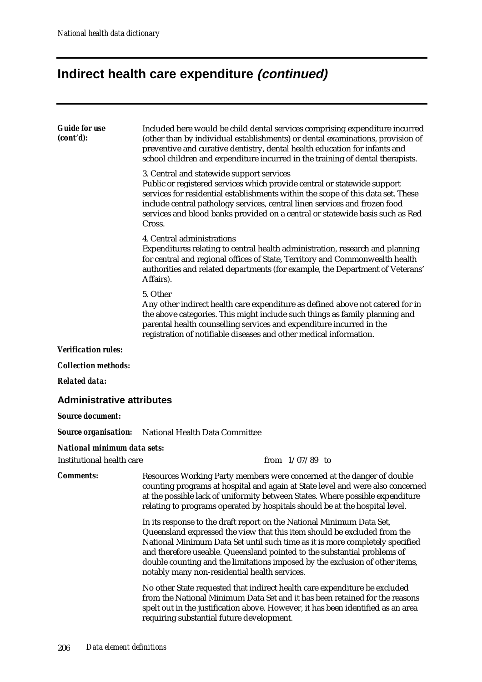## **Indirect health care expenditure (continued)**

| <b>Guide for use</b><br>(cont'd):  | Included here would be child dental services comprising expenditure incurred<br>(other than by individual establishments) or dental examinations, provision of<br>preventive and curative dentistry, dental health education for infants and<br>school children and expenditure incurred in the training of dental therapists.                                                                                                                 |
|------------------------------------|------------------------------------------------------------------------------------------------------------------------------------------------------------------------------------------------------------------------------------------------------------------------------------------------------------------------------------------------------------------------------------------------------------------------------------------------|
|                                    | 3. Central and statewide support services<br>Public or registered services which provide central or statewide support<br>services for residential establishments within the scope of this data set. These<br>include central pathology services, central linen services and frozen food<br>services and blood banks provided on a central or statewide basis such as Red<br>Cross.                                                             |
|                                    | 4. Central administrations<br>Expenditures relating to central health administration, research and planning<br>for central and regional offices of State, Territory and Commonwealth health<br>authorities and related departments (for example, the Department of Veterans'<br>Affairs).                                                                                                                                                      |
|                                    | 5. Other<br>Any other indirect health care expenditure as defined above not catered for in<br>the above categories. This might include such things as family planning and<br>parental health counselling services and expenditure incurred in the<br>registration of notifiable diseases and other medical information.                                                                                                                        |
| <b>Verification rules:</b>         |                                                                                                                                                                                                                                                                                                                                                                                                                                                |
| <b>Collection methods:</b>         |                                                                                                                                                                                                                                                                                                                                                                                                                                                |
| <b>Related data:</b>               |                                                                                                                                                                                                                                                                                                                                                                                                                                                |
| <b>Administrative attributes</b>   |                                                                                                                                                                                                                                                                                                                                                                                                                                                |
| <b>Source document:</b>            |                                                                                                                                                                                                                                                                                                                                                                                                                                                |
| <b>Source organisation:</b>        | National Health Data Committee                                                                                                                                                                                                                                                                                                                                                                                                                 |
| <b>National minimum data sets:</b> |                                                                                                                                                                                                                                                                                                                                                                                                                                                |
| <b>Institutional health care</b>   | from $1/07/89$ to                                                                                                                                                                                                                                                                                                                                                                                                                              |
| <b>Comments:</b>                   | Resources Working Party members were concerned at the danger of double<br>counting programs at hospital and again at State level and were also concerned<br>at the possible lack of uniformity between States. Where possible expenditure<br>relating to programs operated by hospitals should be at the hospital level.                                                                                                                       |
|                                    | In its response to the draft report on the National Minimum Data Set,<br>Queensland expressed the view that this item should be excluded from the<br>National Minimum Data Set until such time as it is more completely specified<br>and therefore useable. Queensland pointed to the substantial problems of<br>double counting and the limitations imposed by the exclusion of other items,<br>notably many non-residential health services. |
|                                    | No other State requested that indirect health care expenditure be excluded<br>from the National Minimum Data Set and it has been retained for the reasons<br>spelt out in the justification above. However, it has been identified as an area<br>requiring substantial future development.                                                                                                                                                     |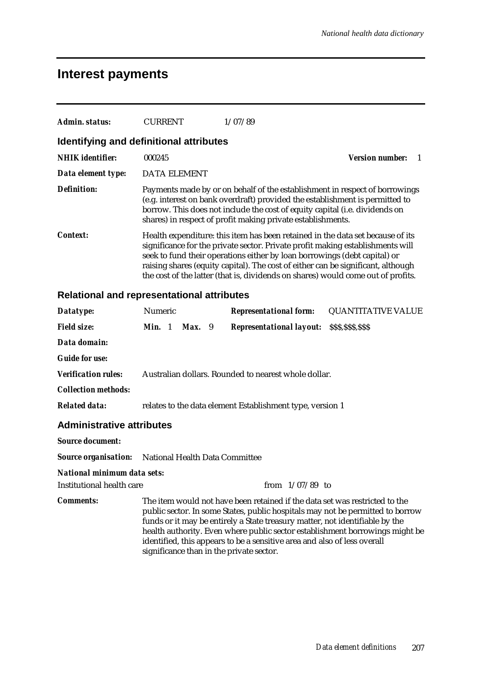#### **Interest payments**

| Admin. status:                          | <b>CURRENT</b>      | 1/07/89                                                                                                                                                                                                                                                                                                                                                                                                               |                        |  |
|-----------------------------------------|---------------------|-----------------------------------------------------------------------------------------------------------------------------------------------------------------------------------------------------------------------------------------------------------------------------------------------------------------------------------------------------------------------------------------------------------------------|------------------------|--|
| Identifying and definitional attributes |                     |                                                                                                                                                                                                                                                                                                                                                                                                                       |                        |  |
| <b>NHIK</b> identifier:                 | 000245              |                                                                                                                                                                                                                                                                                                                                                                                                                       | <b>Version number:</b> |  |
| Data element type:                      | <b>DATA ELEMENT</b> |                                                                                                                                                                                                                                                                                                                                                                                                                       |                        |  |
| <b>Definition:</b>                      |                     | Payments made by or on behalf of the establishment in respect of borrowings<br>(e.g. interest on bank overdraft) provided the establishment is permitted to<br>borrow. This does not include the cost of equity capital (i.e. dividends on<br>shares) in respect of profit making private establishments.                                                                                                             |                        |  |
| <b>Context:</b>                         |                     | Health expenditure: this item has been retained in the data set because of its<br>significance for the private sector. Private profit making establishments will<br>seek to fund their operations either by loan borrowings (debt capital) or<br>raising shares (equity capital). The cost of either can be significant, although<br>the cost of the latter (that is, dividends on shares) would come out of profits. |                        |  |

#### **Relational and representational attributes**

| Datatype:                                                  | Numeric |          | <b>Representational form:</b>                                                                                                                                                                                                                                                                                                                                         | <b>QUANTITATIVE VALUE</b>                                                    |
|------------------------------------------------------------|---------|----------|-----------------------------------------------------------------------------------------------------------------------------------------------------------------------------------------------------------------------------------------------------------------------------------------------------------------------------------------------------------------------|------------------------------------------------------------------------------|
| <b>Field size:</b>                                         | Min. 1  | $Max.$ 9 | <b>Representational layout:</b>                                                                                                                                                                                                                                                                                                                                       | \$\$\$,\$\$\$,\$\$\$                                                         |
| Data domain:                                               |         |          |                                                                                                                                                                                                                                                                                                                                                                       |                                                                              |
| <b>Guide for use:</b>                                      |         |          |                                                                                                                                                                                                                                                                                                                                                                       |                                                                              |
| <b>Verification rules:</b>                                 |         |          | Australian dollars. Rounded to nearest whole dollar.                                                                                                                                                                                                                                                                                                                  |                                                                              |
| <b>Collection methods:</b>                                 |         |          |                                                                                                                                                                                                                                                                                                                                                                       |                                                                              |
| <b>Related data:</b>                                       |         |          | relates to the data element Establishment type, version 1                                                                                                                                                                                                                                                                                                             |                                                                              |
| <b>Administrative attributes</b>                           |         |          |                                                                                                                                                                                                                                                                                                                                                                       |                                                                              |
| <b>Source document:</b>                                    |         |          |                                                                                                                                                                                                                                                                                                                                                                       |                                                                              |
| <b>Source organisation:</b> National Health Data Committee |         |          |                                                                                                                                                                                                                                                                                                                                                                       |                                                                              |
| National minimum data sets:                                |         |          |                                                                                                                                                                                                                                                                                                                                                                       |                                                                              |
| <b>Institutional health care</b>                           |         |          | from $1/07/89$ to                                                                                                                                                                                                                                                                                                                                                     |                                                                              |
| <b>Comments:</b>                                           |         |          | The item would not have been retained if the data set was restricted to the<br>public sector. In some States, public hospitals may not be permitted to borrow<br>funds or it may be entirely a State treasury matter, not identifiable by the<br>identified, this appears to be a sensitive area and also of less overall<br>significance than in the private sector. | health authority. Even where public sector establishment borrowings might be |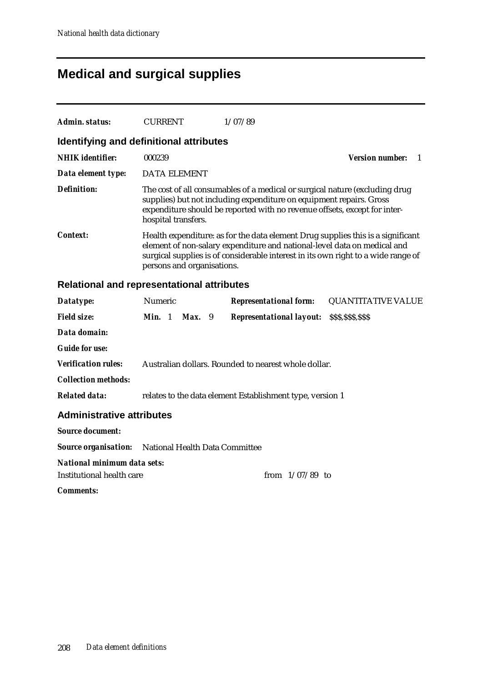## **Medical and surgical supplies**

| Admin. status:                                    | <b>CURRENT</b>                                                                                                                                                                                                                                                                 |                                                                                                                                                                                                                                                        | 1/07/89                                                   |                                          |  |  |
|---------------------------------------------------|--------------------------------------------------------------------------------------------------------------------------------------------------------------------------------------------------------------------------------------------------------------------------------|--------------------------------------------------------------------------------------------------------------------------------------------------------------------------------------------------------------------------------------------------------|-----------------------------------------------------------|------------------------------------------|--|--|
| Identifying and definitional attributes           |                                                                                                                                                                                                                                                                                |                                                                                                                                                                                                                                                        |                                                           |                                          |  |  |
| <b>NHIK</b> identifier:                           | 000239                                                                                                                                                                                                                                                                         |                                                                                                                                                                                                                                                        |                                                           | <b>Version number:</b><br>$\overline{1}$ |  |  |
| Data element type:                                | <b>DATA ELEMENT</b>                                                                                                                                                                                                                                                            |                                                                                                                                                                                                                                                        |                                                           |                                          |  |  |
| Definition:                                       |                                                                                                                                                                                                                                                                                | The cost of all consumables of a medical or surgical nature (excluding drug<br>supplies) but not including expenditure on equipment repairs. Gross<br>expenditure should be reported with no revenue offsets, except for inter-<br>hospital transfers. |                                                           |                                          |  |  |
| <i>Context:</i>                                   | Health expenditure: as for the data element Drug supplies this is a significant<br>element of non-salary expenditure and national-level data on medical and<br>surgical supplies is of considerable interest in its own right to a wide range of<br>persons and organisations. |                                                                                                                                                                                                                                                        |                                                           |                                          |  |  |
| <b>Relational and representational attributes</b> |                                                                                                                                                                                                                                                                                |                                                                                                                                                                                                                                                        |                                                           |                                          |  |  |
| Datatype:                                         | Numeric                                                                                                                                                                                                                                                                        |                                                                                                                                                                                                                                                        | <b>Representational form:</b>                             | <b>QUANTITATIVE VALUE</b>                |  |  |
| <b>Field size:</b>                                | Min. 1                                                                                                                                                                                                                                                                         | Max. 9                                                                                                                                                                                                                                                 | <b>Representational layout: SSS, SSS, SSS</b>             |                                          |  |  |
| Data domain:                                      |                                                                                                                                                                                                                                                                                |                                                                                                                                                                                                                                                        |                                                           |                                          |  |  |
| <b>Guide for use:</b>                             |                                                                                                                                                                                                                                                                                |                                                                                                                                                                                                                                                        |                                                           |                                          |  |  |
| <b>Verification rules:</b>                        |                                                                                                                                                                                                                                                                                |                                                                                                                                                                                                                                                        | Australian dollars. Rounded to nearest whole dollar.      |                                          |  |  |
| <b>Collection methods:</b>                        |                                                                                                                                                                                                                                                                                |                                                                                                                                                                                                                                                        |                                                           |                                          |  |  |
| <b>Related data:</b>                              |                                                                                                                                                                                                                                                                                |                                                                                                                                                                                                                                                        | relates to the data element Establishment type, version 1 |                                          |  |  |
| <b>Administrative attributes</b>                  |                                                                                                                                                                                                                                                                                |                                                                                                                                                                                                                                                        |                                                           |                                          |  |  |
| <b>Source document:</b>                           |                                                                                                                                                                                                                                                                                |                                                                                                                                                                                                                                                        |                                                           |                                          |  |  |
| <b>Source organisation:</b>                       | National Health Data Committee                                                                                                                                                                                                                                                 |                                                                                                                                                                                                                                                        |                                                           |                                          |  |  |
| National minimum data sets:                       |                                                                                                                                                                                                                                                                                |                                                                                                                                                                                                                                                        |                                                           |                                          |  |  |
| Institutional health care                         |                                                                                                                                                                                                                                                                                |                                                                                                                                                                                                                                                        | from $1/07/89$ to                                         |                                          |  |  |
| <i>Comments:</i>                                  |                                                                                                                                                                                                                                                                                |                                                                                                                                                                                                                                                        |                                                           |                                          |  |  |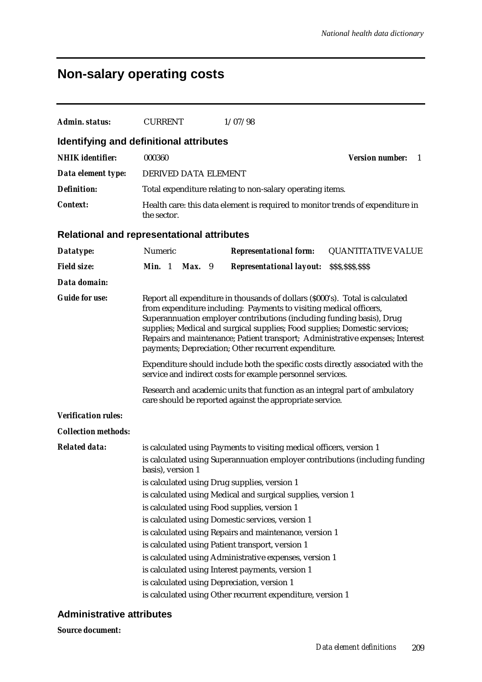### **Non-salary operating costs**

| Admin. status:                                    | <b>CURRENT</b>                                                                                                                                |  | 1/07/98                                                                                                                                                                                                                                                                                                                                                                                                |                                                                               |  |
|---------------------------------------------------|-----------------------------------------------------------------------------------------------------------------------------------------------|--|--------------------------------------------------------------------------------------------------------------------------------------------------------------------------------------------------------------------------------------------------------------------------------------------------------------------------------------------------------------------------------------------------------|-------------------------------------------------------------------------------|--|
| Identifying and definitional attributes           |                                                                                                                                               |  |                                                                                                                                                                                                                                                                                                                                                                                                        |                                                                               |  |
| <b>NHIK</b> identifier:                           | 000360                                                                                                                                        |  |                                                                                                                                                                                                                                                                                                                                                                                                        | <b>Version number:</b><br>1                                                   |  |
| Data element type:                                | DERIVED DATA ELEMENT                                                                                                                          |  |                                                                                                                                                                                                                                                                                                                                                                                                        |                                                                               |  |
| <b>Definition:</b>                                |                                                                                                                                               |  | Total expenditure relating to non-salary operating items.                                                                                                                                                                                                                                                                                                                                              |                                                                               |  |
| <b>Context:</b>                                   | the sector.                                                                                                                                   |  | Health care: this data element is required to monitor trends of expenditure in                                                                                                                                                                                                                                                                                                                         |                                                                               |  |
| <b>Relational and representational attributes</b> |                                                                                                                                               |  |                                                                                                                                                                                                                                                                                                                                                                                                        |                                                                               |  |
| Datatype:                                         | Numeric                                                                                                                                       |  | <b>Representational form:</b>                                                                                                                                                                                                                                                                                                                                                                          | <b>QUANTITATIVE VALUE</b>                                                     |  |
| <b>Field size:</b>                                | Min. 1<br>$Max.$ 9                                                                                                                            |  | <b>Representational layout: SSS, SSS, SSS</b>                                                                                                                                                                                                                                                                                                                                                          |                                                                               |  |
| Data domain:                                      |                                                                                                                                               |  |                                                                                                                                                                                                                                                                                                                                                                                                        |                                                                               |  |
| <b>Guide for use:</b>                             |                                                                                                                                               |  | Report all expenditure in thousands of dollars (\$000's). Total is calculated<br>from expenditure including: Payments to visiting medical officers,<br>Superannuation employer contributions (including funding basis), Drug<br>supplies; Medical and surgical supplies; Food supplies; Domestic services;<br>payments; Depreciation; Other recurrent expenditure.                                     | Repairs and maintenance; Patient transport; Administrative expenses; Interest |  |
|                                                   | Expenditure should include both the specific costs directly associated with the<br>service and indirect costs for example personnel services. |  |                                                                                                                                                                                                                                                                                                                                                                                                        |                                                                               |  |
|                                                   | Research and academic units that function as an integral part of ambulatory<br>care should be reported against the appropriate service.       |  |                                                                                                                                                                                                                                                                                                                                                                                                        |                                                                               |  |
| <b>Verification rules:</b>                        |                                                                                                                                               |  |                                                                                                                                                                                                                                                                                                                                                                                                        |                                                                               |  |
| <b>Collection methods:</b>                        |                                                                                                                                               |  |                                                                                                                                                                                                                                                                                                                                                                                                        |                                                                               |  |
| <b>Related data:</b>                              | basis), version 1                                                                                                                             |  | is calculated using Payments to visiting medical officers, version 1<br>is calculated using Drug supplies, version 1<br>is calculated using Medical and surgical supplies, version 1<br>is calculated using Food supplies, version 1<br>is calculated using Domestic services, version 1<br>is calculated using Repairs and maintenance, version 1<br>is calculated using Patient transport, version 1 | is calculated using Superannuation employer contributions (including funding  |  |
|                                                   |                                                                                                                                               |  | is calculated using Administrative expenses, version 1<br>is calculated using Interest payments, version 1<br>is calculated using Depreciation, version 1<br>is calculated using Other recurrent expenditure, version 1                                                                                                                                                                                |                                                                               |  |

#### **Administrative attributes**

*Source document:*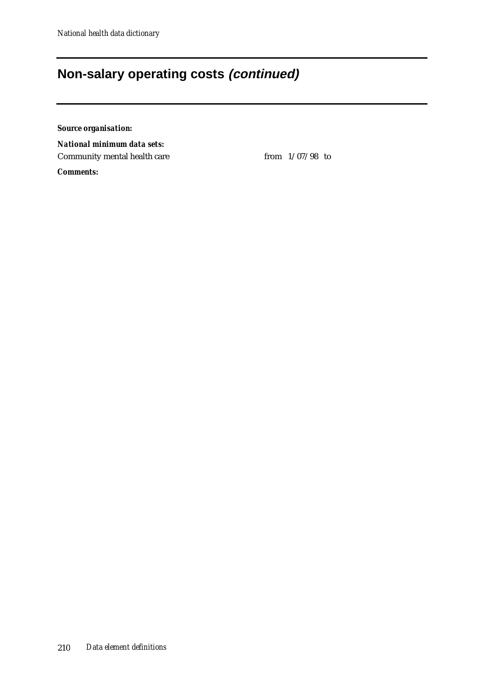#### **Non-salary operating costs (continued)**

*Source organisation:*

*National minimum data sets:* Community mental health care from  $1/07/98$  to

*Comments:*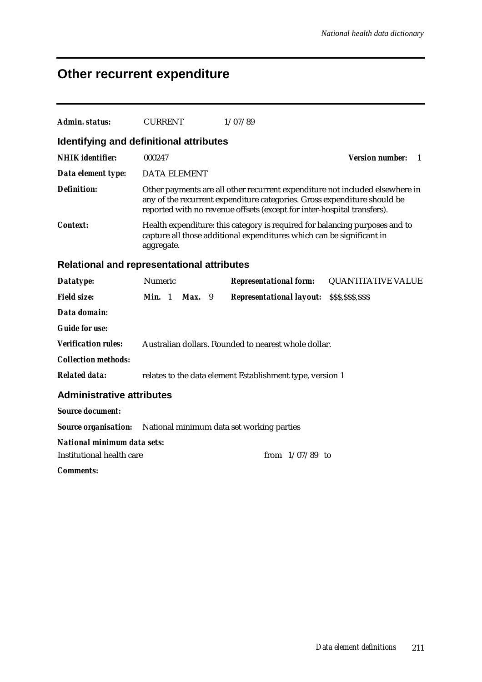# **Other recurrent expenditure**

| Admin. status:                                                        | <b>CURRENT</b>                                            | 1/07/89                                                                                                                                                                                                                             |                                 |                                          |  |  |  |
|-----------------------------------------------------------------------|-----------------------------------------------------------|-------------------------------------------------------------------------------------------------------------------------------------------------------------------------------------------------------------------------------------|---------------------------------|------------------------------------------|--|--|--|
| Identifying and definitional attributes                               |                                                           |                                                                                                                                                                                                                                     |                                 |                                          |  |  |  |
| <b>NHIK</b> identifier:                                               | 000247                                                    |                                                                                                                                                                                                                                     |                                 | <b>Version number:</b><br>$\overline{1}$ |  |  |  |
| Data element type:                                                    | <b>DATA ELEMENT</b>                                       |                                                                                                                                                                                                                                     |                                 |                                          |  |  |  |
| <b>Definition:</b>                                                    |                                                           | Other payments are all other recurrent expenditure not included elsewhere in<br>any of the recurrent expenditure categories. Gross expenditure should be<br>reported with no revenue offsets (except for inter-hospital transfers). |                                 |                                          |  |  |  |
| Context:                                                              | aggregate.                                                | Health expenditure: this category is required for balancing purposes and to<br>capture all those additional expenditures which can be significant in                                                                                |                                 |                                          |  |  |  |
|                                                                       | Relational and representational attributes                |                                                                                                                                                                                                                                     |                                 |                                          |  |  |  |
| Datatype:                                                             | Numeric                                                   |                                                                                                                                                                                                                                     | <b>Representational form:</b>   | <b>QUANTITATIVE VALUE</b>                |  |  |  |
| <b>Field size:</b>                                                    | Min. 1<br>Max. 9                                          |                                                                                                                                                                                                                                     | <b>Representational layout:</b> | \$\$\$,\$\$\$,\$\$\$                     |  |  |  |
| Data domain:                                                          |                                                           |                                                                                                                                                                                                                                     |                                 |                                          |  |  |  |
| <b>Guide for use:</b>                                                 |                                                           |                                                                                                                                                                                                                                     |                                 |                                          |  |  |  |
| <b>Verification rules:</b>                                            | Australian dollars. Rounded to nearest whole dollar.      |                                                                                                                                                                                                                                     |                                 |                                          |  |  |  |
| <b>Collection methods:</b>                                            |                                                           |                                                                                                                                                                                                                                     |                                 |                                          |  |  |  |
| <b>Related data:</b>                                                  | relates to the data element Establishment type, version 1 |                                                                                                                                                                                                                                     |                                 |                                          |  |  |  |
| <b>Administrative attributes</b>                                      |                                                           |                                                                                                                                                                                                                                     |                                 |                                          |  |  |  |
| <b>Source document:</b>                                               |                                                           |                                                                                                                                                                                                                                     |                                 |                                          |  |  |  |
| <b>Source organisation:</b> National minimum data set working parties |                                                           |                                                                                                                                                                                                                                     |                                 |                                          |  |  |  |
| National minimum data sets:                                           |                                                           |                                                                                                                                                                                                                                     |                                 |                                          |  |  |  |
| Institutional health care                                             |                                                           |                                                                                                                                                                                                                                     | from $1/07/89$ to               |                                          |  |  |  |
| <i>Comments:</i>                                                      |                                                           |                                                                                                                                                                                                                                     |                                 |                                          |  |  |  |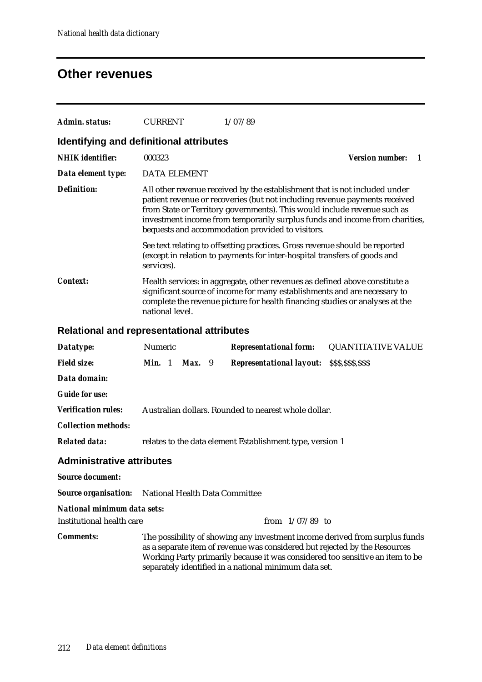### **Other revenues**

| Admin. status:                                    | <b>CURRENT</b>                                                                                                                                                                                                                                              |          | 1/07/89 |                                                           |                                                                                                                                                                                                                                                                                                                     |
|---------------------------------------------------|-------------------------------------------------------------------------------------------------------------------------------------------------------------------------------------------------------------------------------------------------------------|----------|---------|-----------------------------------------------------------|---------------------------------------------------------------------------------------------------------------------------------------------------------------------------------------------------------------------------------------------------------------------------------------------------------------------|
| Identifying and definitional attributes           |                                                                                                                                                                                                                                                             |          |         |                                                           |                                                                                                                                                                                                                                                                                                                     |
| <b>NHIK</b> identifier:                           | 000323                                                                                                                                                                                                                                                      |          |         |                                                           | <b>Version number:</b><br>1                                                                                                                                                                                                                                                                                         |
| Data element type:                                | <b>DATA ELEMENT</b>                                                                                                                                                                                                                                         |          |         |                                                           |                                                                                                                                                                                                                                                                                                                     |
| <b>Definition:</b>                                |                                                                                                                                                                                                                                                             |          |         | bequests and accommodation provided to visitors.          | All other revenue received by the establishment that is not included under<br>patient revenue or recoveries (but not including revenue payments received<br>from State or Territory governments). This would include revenue such as<br>investment income from temporarily surplus funds and income from charities, |
|                                                   | services).                                                                                                                                                                                                                                                  |          |         |                                                           | See text relating to offsetting practices. Gross revenue should be reported<br>(except in relation to payments for inter-hospital transfers of goods and                                                                                                                                                            |
| <b>Context:</b>                                   | Health services: in aggregate, other revenues as defined above constitute a<br>significant source of income for many establishments and are necessary to<br>complete the revenue picture for health financing studies or analyses at the<br>national level. |          |         |                                                           |                                                                                                                                                                                                                                                                                                                     |
| <b>Relational and representational attributes</b> |                                                                                                                                                                                                                                                             |          |         |                                                           |                                                                                                                                                                                                                                                                                                                     |
| Datatype:                                         | Numeric                                                                                                                                                                                                                                                     |          |         | <b>Representational form:</b>                             | <b>QUANTITATIVE VALUE</b>                                                                                                                                                                                                                                                                                           |
| <b>Field size:</b>                                | Min. 1                                                                                                                                                                                                                                                      | $Max.$ 9 |         | <b>Representational layout:</b>                           | \$\$\$,\$\$\$,\$\$\$                                                                                                                                                                                                                                                                                                |
| Data domain:                                      |                                                                                                                                                                                                                                                             |          |         |                                                           |                                                                                                                                                                                                                                                                                                                     |
| <b>Guide for use:</b>                             |                                                                                                                                                                                                                                                             |          |         |                                                           |                                                                                                                                                                                                                                                                                                                     |
| <b>Verification rules:</b>                        |                                                                                                                                                                                                                                                             |          |         | Australian dollars. Rounded to nearest whole dollar.      |                                                                                                                                                                                                                                                                                                                     |
| <b>Collection methods:</b>                        |                                                                                                                                                                                                                                                             |          |         |                                                           |                                                                                                                                                                                                                                                                                                                     |
| <b>Related data:</b>                              |                                                                                                                                                                                                                                                             |          |         | relates to the data element Establishment type, version 1 |                                                                                                                                                                                                                                                                                                                     |
| <b>Administrative attributes</b>                  |                                                                                                                                                                                                                                                             |          |         |                                                           |                                                                                                                                                                                                                                                                                                                     |
| <b>Source document:</b>                           |                                                                                                                                                                                                                                                             |          |         |                                                           |                                                                                                                                                                                                                                                                                                                     |
| <b>Source organisation:</b>                       | National Health Data Committee                                                                                                                                                                                                                              |          |         |                                                           |                                                                                                                                                                                                                                                                                                                     |
| <b>National minimum data sets:</b>                |                                                                                                                                                                                                                                                             |          |         |                                                           |                                                                                                                                                                                                                                                                                                                     |
| <b>Institutional health care</b>                  |                                                                                                                                                                                                                                                             |          |         | from $1/07/89$ to                                         |                                                                                                                                                                                                                                                                                                                     |
| <b>Comments:</b>                                  |                                                                                                                                                                                                                                                             |          |         | separately identified in a national minimum data set.     | The possibility of showing any investment income derived from surplus funds<br>as a separate item of revenue was considered but rejected by the Resources<br>Working Party primarily because it was considered too sensitive an item to be                                                                          |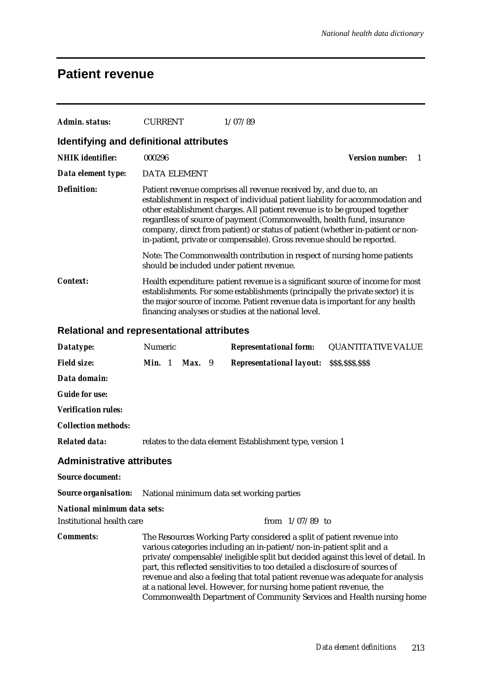### **Patient revenue**

| Admin. status:                             | <b>CURRENT</b>                                            |                                                                                                                                                                                                                                                                                                          |  | 1/07/89                                                                                                                                                                                                                                                                                                 |  |                                                                                                                                                                                                                                               |
|--------------------------------------------|-----------------------------------------------------------|----------------------------------------------------------------------------------------------------------------------------------------------------------------------------------------------------------------------------------------------------------------------------------------------------------|--|---------------------------------------------------------------------------------------------------------------------------------------------------------------------------------------------------------------------------------------------------------------------------------------------------------|--|-----------------------------------------------------------------------------------------------------------------------------------------------------------------------------------------------------------------------------------------------|
| Identifying and definitional attributes    |                                                           |                                                                                                                                                                                                                                                                                                          |  |                                                                                                                                                                                                                                                                                                         |  |                                                                                                                                                                                                                                               |
| <b>NHIK</b> identifier:                    | 000296                                                    |                                                                                                                                                                                                                                                                                                          |  |                                                                                                                                                                                                                                                                                                         |  | <b>Version number:</b><br>1                                                                                                                                                                                                                   |
| Data element type:                         | <b>DATA ELEMENT</b>                                       |                                                                                                                                                                                                                                                                                                          |  |                                                                                                                                                                                                                                                                                                         |  |                                                                                                                                                                                                                                               |
| <b>Definition:</b>                         |                                                           |                                                                                                                                                                                                                                                                                                          |  | Patient revenue comprises all revenue received by, and due to, an<br>other establishment charges. All patient revenue is to be grouped together<br>regardless of source of payment (Commonwealth, health fund, insurance<br>in-patient, private or compensable). Gross revenue should be reported.      |  | establishment in respect of individual patient liability for accommodation and<br>company, direct from patient) or status of patient (whether in-patient or non-                                                                              |
|                                            |                                                           |                                                                                                                                                                                                                                                                                                          |  | should be included under patient revenue.                                                                                                                                                                                                                                                               |  | Note: The Commonwealth contribution in respect of nursing home patients                                                                                                                                                                       |
| <b>Context:</b>                            |                                                           | Health expenditure: patient revenue is a significant source of income for most<br>establishments. For some establishments (principally the private sector) it is<br>the major source of income. Patient revenue data is important for any health<br>financing analyses or studies at the national level. |  |                                                                                                                                                                                                                                                                                                         |  |                                                                                                                                                                                                                                               |
| Relational and representational attributes |                                                           |                                                                                                                                                                                                                                                                                                          |  |                                                                                                                                                                                                                                                                                                         |  |                                                                                                                                                                                                                                               |
| Datatype:                                  | Numeric                                                   |                                                                                                                                                                                                                                                                                                          |  | <b>Representational form:</b>                                                                                                                                                                                                                                                                           |  | <b>QUANTITATIVE VALUE</b>                                                                                                                                                                                                                     |
| <b>Field size:</b>                         | Min. 1                                                    | Max. 9                                                                                                                                                                                                                                                                                                   |  | <b>Representational layout: SSS, SSS, SSS</b>                                                                                                                                                                                                                                                           |  |                                                                                                                                                                                                                                               |
| Data domain:                               |                                                           |                                                                                                                                                                                                                                                                                                          |  |                                                                                                                                                                                                                                                                                                         |  |                                                                                                                                                                                                                                               |
| <b>Guide for use:</b>                      |                                                           |                                                                                                                                                                                                                                                                                                          |  |                                                                                                                                                                                                                                                                                                         |  |                                                                                                                                                                                                                                               |
| <b>Verification rules:</b>                 |                                                           |                                                                                                                                                                                                                                                                                                          |  |                                                                                                                                                                                                                                                                                                         |  |                                                                                                                                                                                                                                               |
| <b>Collection methods:</b>                 |                                                           |                                                                                                                                                                                                                                                                                                          |  |                                                                                                                                                                                                                                                                                                         |  |                                                                                                                                                                                                                                               |
| <b>Related data:</b>                       | relates to the data element Establishment type, version 1 |                                                                                                                                                                                                                                                                                                          |  |                                                                                                                                                                                                                                                                                                         |  |                                                                                                                                                                                                                                               |
| <b>Administrative attributes</b>           |                                                           |                                                                                                                                                                                                                                                                                                          |  |                                                                                                                                                                                                                                                                                                         |  |                                                                                                                                                                                                                                               |
| <b>Source document:</b>                    |                                                           |                                                                                                                                                                                                                                                                                                          |  |                                                                                                                                                                                                                                                                                                         |  |                                                                                                                                                                                                                                               |
| <b>Source organisation:</b>                |                                                           |                                                                                                                                                                                                                                                                                                          |  | National minimum data set working parties                                                                                                                                                                                                                                                               |  |                                                                                                                                                                                                                                               |
| National minimum data sets:                |                                                           |                                                                                                                                                                                                                                                                                                          |  |                                                                                                                                                                                                                                                                                                         |  |                                                                                                                                                                                                                                               |
| <b>Institutional health care</b>           |                                                           |                                                                                                                                                                                                                                                                                                          |  | from $1/07/89$ to                                                                                                                                                                                                                                                                                       |  |                                                                                                                                                                                                                                               |
| <b>Comments:</b>                           |                                                           |                                                                                                                                                                                                                                                                                                          |  | The Resources Working Party considered a split of patient revenue into<br>various categories including an in-patient/non-in-patient split and a<br>part, this reflected sensitivities to too detailed a disclosure of sources of<br>at a national level. However, for nursing home patient revenue, the |  | private/compensable/ineligible split but decided against this level of detail. In<br>revenue and also a feeling that total patient revenue was adequate for analysis<br>Commonwealth Department of Community Services and Health nursing home |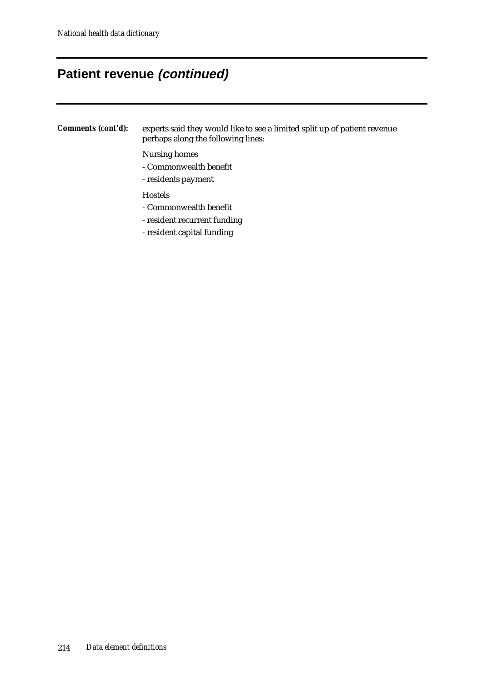#### **Patient revenue (continued)**

*Comments (cont'd):* experts said they would like to see a limited split up of patient revenue perhaps along the following lines:

Nursing homes

- Commonwealth benefit
- residents payment

Hostels

- Commonwealth benefit
- resident recurrent funding
- resident capital funding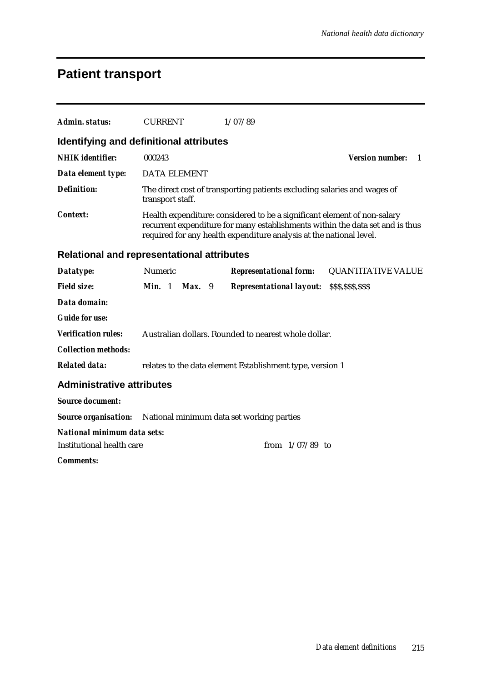### **Patient transport**

| Admin. status:                                                  | <b>CURRENT</b>                                                                                                                                                                                                                   |                                                                                              | 1/07/89                                                   |                                          |  |  |
|-----------------------------------------------------------------|----------------------------------------------------------------------------------------------------------------------------------------------------------------------------------------------------------------------------------|----------------------------------------------------------------------------------------------|-----------------------------------------------------------|------------------------------------------|--|--|
| Identifying and definitional attributes                         |                                                                                                                                                                                                                                  |                                                                                              |                                                           |                                          |  |  |
| <b>NHIK</b> identifier:                                         | 000243                                                                                                                                                                                                                           |                                                                                              |                                                           | <b>Version number:</b><br>$\overline{1}$ |  |  |
| Data element type:                                              | <b>DATA ELEMENT</b>                                                                                                                                                                                                              |                                                                                              |                                                           |                                          |  |  |
| <b>Definition:</b>                                              |                                                                                                                                                                                                                                  | The direct cost of transporting patients excluding salaries and wages of<br>transport staff. |                                                           |                                          |  |  |
| <b>Context:</b>                                                 | Health expenditure: considered to be a significant element of non-salary<br>recurrent expenditure for many establishments within the data set and is thus<br>required for any health expenditure analysis at the national level. |                                                                                              |                                                           |                                          |  |  |
| <b>Relational and representational attributes</b>               |                                                                                                                                                                                                                                  |                                                                                              |                                                           |                                          |  |  |
| Datatype:                                                       | <b>Numeric</b>                                                                                                                                                                                                                   |                                                                                              | <b>Representational form:</b>                             | <b>QUANTITATIVE VALUE</b>                |  |  |
| <b>Field size:</b>                                              | Min. 1                                                                                                                                                                                                                           | Max. 9                                                                                       | <b>Representational layout:</b>                           | \$\$\$,\$\$\$,\$\$\$                     |  |  |
| Data domain:                                                    |                                                                                                                                                                                                                                  |                                                                                              |                                                           |                                          |  |  |
| <b>Guide for use:</b>                                           |                                                                                                                                                                                                                                  |                                                                                              |                                                           |                                          |  |  |
| <b>Verification rules:</b>                                      |                                                                                                                                                                                                                                  |                                                                                              | Australian dollars. Rounded to nearest whole dollar.      |                                          |  |  |
| <b>Collection methods:</b>                                      |                                                                                                                                                                                                                                  |                                                                                              |                                                           |                                          |  |  |
| <b>Related data:</b>                                            |                                                                                                                                                                                                                                  |                                                                                              | relates to the data element Establishment type, version 1 |                                          |  |  |
| <b>Administrative attributes</b>                                |                                                                                                                                                                                                                                  |                                                                                              |                                                           |                                          |  |  |
| <b>Source document:</b>                                         |                                                                                                                                                                                                                                  |                                                                                              |                                                           |                                          |  |  |
| <b>Source organisation:</b>                                     |                                                                                                                                                                                                                                  |                                                                                              | National minimum data set working parties                 |                                          |  |  |
| <b>National minimum data sets:</b><br>Institutional health care |                                                                                                                                                                                                                                  |                                                                                              | from $1/07/89$ to                                         |                                          |  |  |
| <b>Comments:</b>                                                |                                                                                                                                                                                                                                  |                                                                                              |                                                           |                                          |  |  |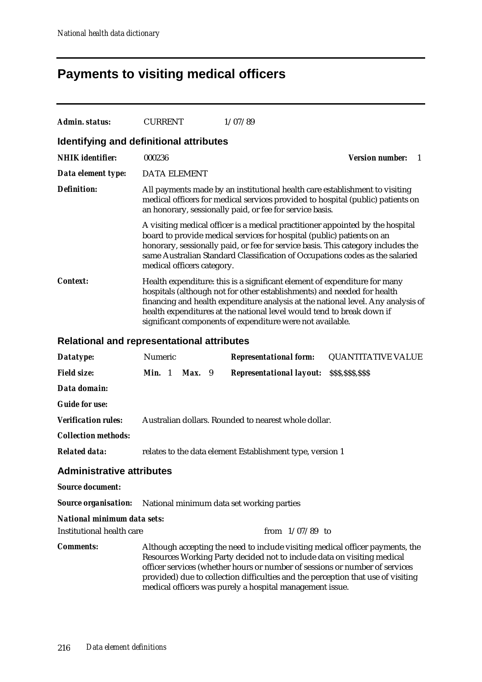# **Payments to visiting medical officers**

| Admin. status:                                    | <b>CURRENT</b>                                                                                                                                                                                                                                                                                                                                                                 | 1/07/89                                                                                                                                                                                                                                                                                                                      |                             |  |  |
|---------------------------------------------------|--------------------------------------------------------------------------------------------------------------------------------------------------------------------------------------------------------------------------------------------------------------------------------------------------------------------------------------------------------------------------------|------------------------------------------------------------------------------------------------------------------------------------------------------------------------------------------------------------------------------------------------------------------------------------------------------------------------------|-----------------------------|--|--|
| Identifying and definitional attributes           |                                                                                                                                                                                                                                                                                                                                                                                |                                                                                                                                                                                                                                                                                                                              |                             |  |  |
| <b>NHIK</b> identifier:                           | 000236                                                                                                                                                                                                                                                                                                                                                                         |                                                                                                                                                                                                                                                                                                                              | <b>Version number:</b><br>1 |  |  |
| Data element type:                                | <b>DATA ELEMENT</b>                                                                                                                                                                                                                                                                                                                                                            |                                                                                                                                                                                                                                                                                                                              |                             |  |  |
| <b>Definition:</b>                                |                                                                                                                                                                                                                                                                                                                                                                                | All payments made by an institutional health care establishment to visiting<br>medical officers for medical services provided to hospital (public) patients on<br>an honorary, sessionally paid, or fee for service basis.                                                                                                   |                             |  |  |
|                                                   | medical officers category.                                                                                                                                                                                                                                                                                                                                                     | A visiting medical officer is a medical practitioner appointed by the hospital<br>board to provide medical services for hospital (public) patients on an<br>honorary, sessionally paid, or fee for service basis. This category includes the<br>same Australian Standard Classification of Occupations codes as the salaried |                             |  |  |
| <b>Context:</b>                                   | Health expenditure: this is a significant element of expenditure for many<br>hospitals (although not for other establishments) and needed for health<br>financing and health expenditure analysis at the national level. Any analysis of<br>health expenditures at the national level would tend to break down if<br>significant components of expenditure were not available. |                                                                                                                                                                                                                                                                                                                              |                             |  |  |
| <b>Relational and representational attributes</b> |                                                                                                                                                                                                                                                                                                                                                                                |                                                                                                                                                                                                                                                                                                                              |                             |  |  |
| Datatype:                                         | Numeric                                                                                                                                                                                                                                                                                                                                                                        | <b>Representational form:</b>                                                                                                                                                                                                                                                                                                | <b>QUANTITATIVE VALUE</b>   |  |  |
| <b>Field size:</b>                                | Min. 1<br>Max. 9                                                                                                                                                                                                                                                                                                                                                               | <b>Representational layout:</b>                                                                                                                                                                                                                                                                                              | \$\$\$,\$\$\$,\$\$\$        |  |  |
| Data domain:                                      |                                                                                                                                                                                                                                                                                                                                                                                |                                                                                                                                                                                                                                                                                                                              |                             |  |  |
| <b>Guide for use:</b>                             |                                                                                                                                                                                                                                                                                                                                                                                |                                                                                                                                                                                                                                                                                                                              |                             |  |  |
| <b>Verification rules:</b>                        |                                                                                                                                                                                                                                                                                                                                                                                | Australian dollars. Rounded to nearest whole dollar.                                                                                                                                                                                                                                                                         |                             |  |  |
| <b>Collection methods:</b>                        |                                                                                                                                                                                                                                                                                                                                                                                |                                                                                                                                                                                                                                                                                                                              |                             |  |  |
| <b>Related data:</b>                              |                                                                                                                                                                                                                                                                                                                                                                                | relates to the data element Establishment type, version 1                                                                                                                                                                                                                                                                    |                             |  |  |

#### **Administrative attributes**

| related data: "                  | relates to the data element Establishment type, version 1                                                                                                                                                                                                                                                                                                                               |
|----------------------------------|-----------------------------------------------------------------------------------------------------------------------------------------------------------------------------------------------------------------------------------------------------------------------------------------------------------------------------------------------------------------------------------------|
| <b>Administrative attributes</b> |                                                                                                                                                                                                                                                                                                                                                                                         |
| <b>Source document:</b>          |                                                                                                                                                                                                                                                                                                                                                                                         |
|                                  | <b>Source organisation:</b> National minimum data set working parties                                                                                                                                                                                                                                                                                                                   |
| National minimum data sets:      |                                                                                                                                                                                                                                                                                                                                                                                         |
| Institutional health care        | from $1/07/89$ to                                                                                                                                                                                                                                                                                                                                                                       |
| <b>Comments:</b>                 | Although accepting the need to include visiting medical officer payments, the<br>Resources Working Party decided not to include data on visiting medical<br>officer services (whether hours or number of sessions or number of services<br>provided) due to collection difficulties and the perception that use of visiting<br>medical officers was purely a hospital management issue. |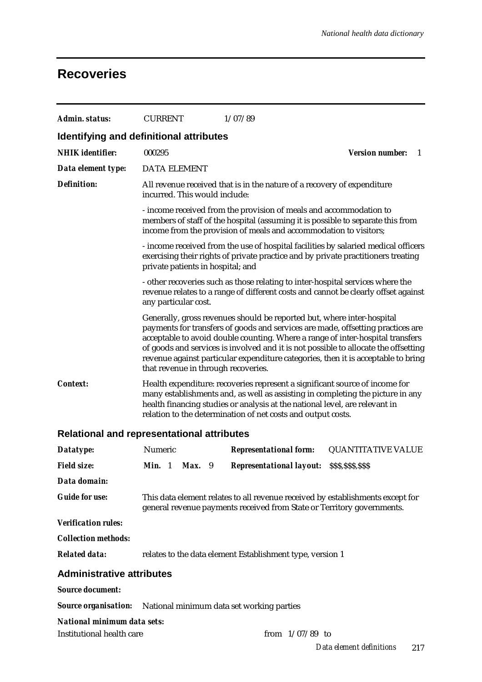#### **Recoveries**

| Admin. status:                                    | <b>CURRENT</b>                |                                                                                                                                                                                                                                                                                                              |  | 1/07/89                                                                                                                                                                                                                                                                                                                                                                                                                                                        |                      |                           |   |
|---------------------------------------------------|-------------------------------|--------------------------------------------------------------------------------------------------------------------------------------------------------------------------------------------------------------------------------------------------------------------------------------------------------------|--|----------------------------------------------------------------------------------------------------------------------------------------------------------------------------------------------------------------------------------------------------------------------------------------------------------------------------------------------------------------------------------------------------------------------------------------------------------------|----------------------|---------------------------|---|
| Identifying and definitional attributes           |                               |                                                                                                                                                                                                                                                                                                              |  |                                                                                                                                                                                                                                                                                                                                                                                                                                                                |                      |                           |   |
| <b>NHIK</b> identifier:                           | 000295                        |                                                                                                                                                                                                                                                                                                              |  |                                                                                                                                                                                                                                                                                                                                                                                                                                                                |                      | <b>Version number:</b>    | 1 |
| Data element type:                                | <b>DATA ELEMENT</b>           |                                                                                                                                                                                                                                                                                                              |  |                                                                                                                                                                                                                                                                                                                                                                                                                                                                |                      |                           |   |
| <b>Definition:</b>                                | incurred. This would include: |                                                                                                                                                                                                                                                                                                              |  | All revenue received that is in the nature of a recovery of expenditure                                                                                                                                                                                                                                                                                                                                                                                        |                      |                           |   |
|                                                   |                               |                                                                                                                                                                                                                                                                                                              |  | - income received from the provision of meals and accommodation to<br>members of staff of the hospital (assuming it is possible to separate this from<br>income from the provision of meals and accommodation to visitors;                                                                                                                                                                                                                                     |                      |                           |   |
|                                                   |                               | - income received from the use of hospital facilities by salaried medical officers<br>exercising their rights of private practice and by private practitioners treating<br>private patients in hospital; and                                                                                                 |  |                                                                                                                                                                                                                                                                                                                                                                                                                                                                |                      |                           |   |
|                                                   |                               | - other recoveries such as those relating to inter-hospital services where the<br>revenue relates to a range of different costs and cannot be clearly offset against<br>any particular cost.                                                                                                                 |  |                                                                                                                                                                                                                                                                                                                                                                                                                                                                |                      |                           |   |
|                                                   |                               |                                                                                                                                                                                                                                                                                                              |  | Generally, gross revenues should be reported but, where inter-hospital<br>payments for transfers of goods and services are made, offsetting practices are<br>acceptable to avoid double counting. Where a range of inter-hospital transfers<br>of goods and services is involved and it is not possible to allocate the offsetting<br>revenue against particular expenditure categories, then it is acceptable to bring<br>that revenue in through recoveries. |                      |                           |   |
| <b>Context:</b>                                   |                               | Health expenditure: recoveries represent a significant source of income for<br>many establishments and, as well as assisting in completing the picture in any<br>health financing studies or analysis at the national level, are relevant in<br>relation to the determination of net costs and output costs. |  |                                                                                                                                                                                                                                                                                                                                                                                                                                                                |                      |                           |   |
| <b>Relational and representational attributes</b> |                               |                                                                                                                                                                                                                                                                                                              |  |                                                                                                                                                                                                                                                                                                                                                                                                                                                                |                      |                           |   |
| Datatype:                                         | Numeric                       |                                                                                                                                                                                                                                                                                                              |  | <b>Representational form:</b>                                                                                                                                                                                                                                                                                                                                                                                                                                  |                      | <b>QUANTITATIVE VALUE</b> |   |
| <b>Field size:</b>                                | <b>Min.</b> $1$               | Max. 9                                                                                                                                                                                                                                                                                                       |  | <b>Representational layout:</b>                                                                                                                                                                                                                                                                                                                                                                                                                                | \$\$\$,\$\$\$,\$\$\$ |                           |   |
| Data domain:                                      |                               |                                                                                                                                                                                                                                                                                                              |  |                                                                                                                                                                                                                                                                                                                                                                                                                                                                |                      |                           |   |
| <b>Guide for use:</b>                             |                               |                                                                                                                                                                                                                                                                                                              |  | This data element relates to all revenue received by establishments except for<br>general revenue payments received from State or Territory governments.                                                                                                                                                                                                                                                                                                       |                      |                           |   |
| <b>Verification rules:</b>                        |                               |                                                                                                                                                                                                                                                                                                              |  |                                                                                                                                                                                                                                                                                                                                                                                                                                                                |                      |                           |   |
| <b>Collection methods:</b>                        |                               |                                                                                                                                                                                                                                                                                                              |  |                                                                                                                                                                                                                                                                                                                                                                                                                                                                |                      |                           |   |
| <b>Related data:</b>                              |                               |                                                                                                                                                                                                                                                                                                              |  | relates to the data element Establishment type, version 1                                                                                                                                                                                                                                                                                                                                                                                                      |                      |                           |   |
| <b>Administrative attributes</b>                  |                               |                                                                                                                                                                                                                                                                                                              |  |                                                                                                                                                                                                                                                                                                                                                                                                                                                                |                      |                           |   |
| <b>Source document:</b>                           |                               |                                                                                                                                                                                                                                                                                                              |  |                                                                                                                                                                                                                                                                                                                                                                                                                                                                |                      |                           |   |
| <b>Source organisation:</b>                       |                               |                                                                                                                                                                                                                                                                                                              |  | National minimum data set working parties                                                                                                                                                                                                                                                                                                                                                                                                                      |                      |                           |   |
| National minimum data sets:                       |                               |                                                                                                                                                                                                                                                                                                              |  |                                                                                                                                                                                                                                                                                                                                                                                                                                                                |                      |                           |   |

Institutional health care from  $1/07/89$  to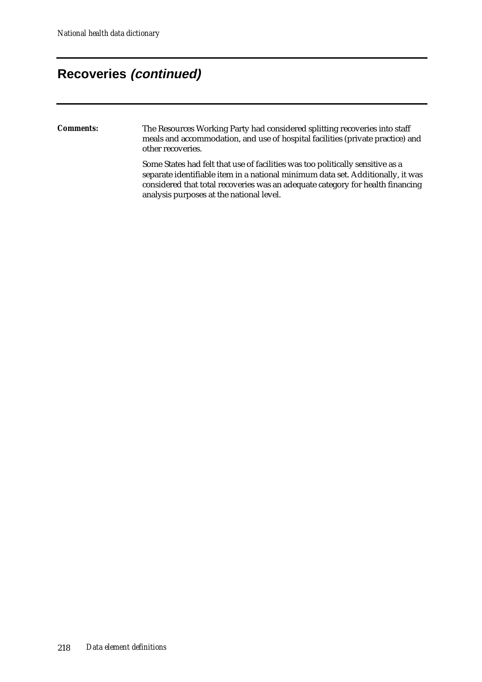#### **Recoveries (continued)**

#### *Comments:* The Resources Working Party had considered splitting recoveries into staff meals and accommodation, and use of hospital facilities (private practice) and other recoveries.

Some States had felt that use of facilities was too politically sensitive as a separate identifiable item in a national minimum data set. Additionally, it was considered that total recoveries was an adequate category for health financing analysis purposes at the national level.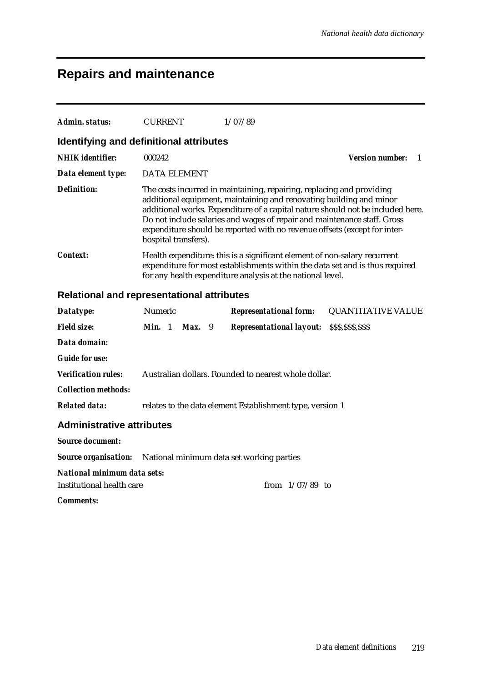### **Repairs and maintenance**

| Admin. status:                          | <b>CURRENT</b>       | 1/07/89                                                                                                                                                                                                                                                                                                                                                                                 |                        |
|-----------------------------------------|----------------------|-----------------------------------------------------------------------------------------------------------------------------------------------------------------------------------------------------------------------------------------------------------------------------------------------------------------------------------------------------------------------------------------|------------------------|
| Identifying and definitional attributes |                      |                                                                                                                                                                                                                                                                                                                                                                                         |                        |
| <b>NHIK</b> identifier:                 | 000242               |                                                                                                                                                                                                                                                                                                                                                                                         | <b>Version number:</b> |
| Data element type:                      | DATA ELEMENT         |                                                                                                                                                                                                                                                                                                                                                                                         |                        |
| <b>Definition:</b>                      | hospital transfers). | The costs incurred in maintaining, repairing, replacing and providing<br>additional equipment, maintaining and renovating building and minor<br>additional works. Expenditure of a capital nature should not be included here.<br>Do not include salaries and wages of repair and maintenance staff. Gross<br>expenditure should be reported with no revenue offsets (except for inter- |                        |
| <i>Context:</i>                         |                      | Health expenditure: this is a significant element of non-salary recurrent<br>expenditure for most establishments within the data set and is thus required<br>for any health expenditure analysis at the national level.                                                                                                                                                                 |                        |

#### **Relational and representational attributes**

| Datatype:                                                             | <b>Numeric</b> |          | <b>Representational form:</b>                             | <b>QUANTITATIVE VALUE</b> |
|-----------------------------------------------------------------------|----------------|----------|-----------------------------------------------------------|---------------------------|
| <b>Field size:</b>                                                    | Min. 1         | $Max.$ 9 | <b>Representational layout:</b>                           | \$\$\$,\$\$\$,\$\$\$      |
| Data domain:                                                          |                |          |                                                           |                           |
| <b>Guide for use:</b>                                                 |                |          |                                                           |                           |
| <b>Verification rules:</b>                                            |                |          | Australian dollars. Rounded to nearest whole dollar.      |                           |
| <b>Collection methods:</b>                                            |                |          |                                                           |                           |
| <b>Related data:</b>                                                  |                |          | relates to the data element Establishment type, version 1 |                           |
| <b>Administrative attributes</b>                                      |                |          |                                                           |                           |
| <b>Source document:</b>                                               |                |          |                                                           |                           |
| <b>Source organisation:</b> National minimum data set working parties |                |          |                                                           |                           |
| National minimum data sets:                                           |                |          |                                                           |                           |
| Institutional health care                                             |                |          | from $1/07/89$ to                                         |                           |
| <b>Comments:</b>                                                      |                |          |                                                           |                           |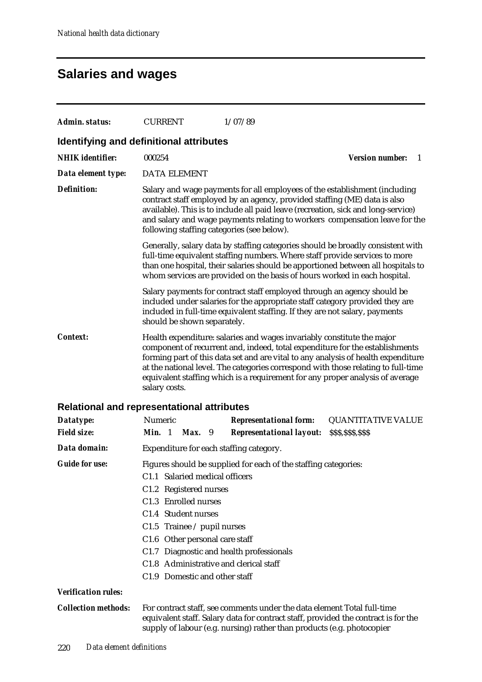## **Salaries and wages**

| Admin. status:                  | <b>CURRENT</b><br>1/07/89                                                                                                                                                                                                                                                                                                                                                                                                          |  |  |  |  |
|---------------------------------|------------------------------------------------------------------------------------------------------------------------------------------------------------------------------------------------------------------------------------------------------------------------------------------------------------------------------------------------------------------------------------------------------------------------------------|--|--|--|--|
|                                 | Identifying and definitional attributes                                                                                                                                                                                                                                                                                                                                                                                            |  |  |  |  |
| <b>NHIK</b> identifier:         | 000254<br><b>Version number:</b><br>- 1                                                                                                                                                                                                                                                                                                                                                                                            |  |  |  |  |
| Data element type:              | <b>DATA ELEMENT</b>                                                                                                                                                                                                                                                                                                                                                                                                                |  |  |  |  |
| <b>Definition:</b>              | Salary and wage payments for all employees of the establishment (including<br>contract staff employed by an agency, provided staffing (ME) data is also<br>available). This is to include all paid leave (recreation, sick and long-service)<br>and salary and wage payments relating to workers compensation leave for the<br>following staffing categories (see below).                                                          |  |  |  |  |
|                                 | Generally, salary data by staffing categories should be broadly consistent with<br>full-time equivalent staffing numbers. Where staff provide services to more<br>than one hospital, their salaries should be apportioned between all hospitals to<br>whom services are provided on the basis of hours worked in each hospital.                                                                                                    |  |  |  |  |
|                                 | Salary payments for contract staff employed through an agency should be<br>included under salaries for the appropriate staff category provided they are<br>included in full-time equivalent staffing. If they are not salary, payments<br>should be shown separately.                                                                                                                                                              |  |  |  |  |
| <b>Context:</b>                 | Health expenditure: salaries and wages invariably constitute the major<br>component of recurrent and, indeed, total expenditure for the establishments<br>forming part of this data set and are vital to any analysis of health expenditure<br>at the national level. The categories correspond with those relating to full-time<br>equivalent staffing which is a requirement for any proper analysis of average<br>salary costs. |  |  |  |  |
|                                 | <b>Relational and representational attributes</b>                                                                                                                                                                                                                                                                                                                                                                                  |  |  |  |  |
| Datatype:                       | Numeric<br><b>Representational form:</b><br><b>QUANTITATIVE VALUE</b>                                                                                                                                                                                                                                                                                                                                                              |  |  |  |  |
| <b>Field size:</b>              | Min. 1<br>Max. 9<br><b>Representational layout:</b><br>\$\$\$,\$\$\$,\$\$\$                                                                                                                                                                                                                                                                                                                                                        |  |  |  |  |
| Data domain:                    | Expenditure for each staffing category.                                                                                                                                                                                                                                                                                                                                                                                            |  |  |  |  |
| <b>Guide for use:</b>           | Figures should be supplied for each of the staffing categories:<br>C1.1 Salaried medical officers<br>C1.2 Registered nurses<br>C1.3 Enrolled nurses<br>C1.4 Student nurses<br>C1.5 Trainee $\ell$ pupil nurses<br>C1.6 Other personal care staff<br>C1.7 Diagnostic and health professionals<br>C1.8 Administrative and clerical staff<br>C1.9 Domestic and other staff                                                            |  |  |  |  |
| <b>Verification rules:</b>      |                                                                                                                                                                                                                                                                                                                                                                                                                                    |  |  |  |  |
| <b>Collection methods:</b>      | For contract staff, see comments under the data element Total full-time<br>equivalent staff. Salary data for contract staff, provided the contract is for the<br>supply of labour (e.g. nursing) rather than products (e.g. photocopier                                                                                                                                                                                            |  |  |  |  |
| Data element definitions<br>220 |                                                                                                                                                                                                                                                                                                                                                                                                                                    |  |  |  |  |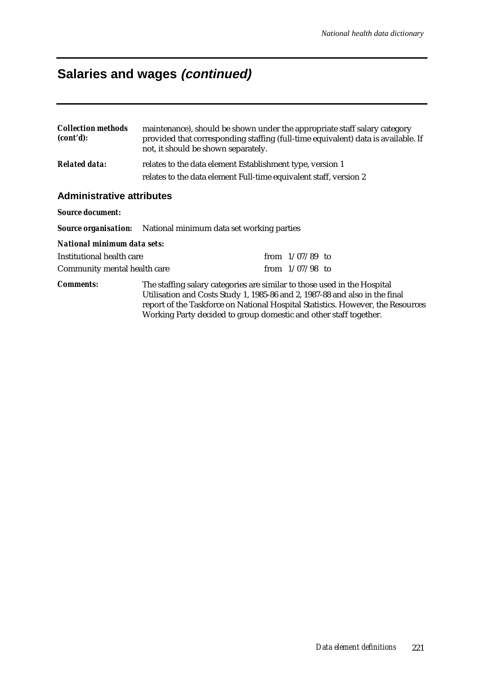### **Salaries and wages (continued)**

| <b>Collection methods</b><br>(cont'd): | maintenance), should be shown under the appropriate staff salary category<br>provided that corresponding staffing (full-time equivalent) data is available. If<br>not, it should be shown separately. |  |  |  |
|----------------------------------------|-------------------------------------------------------------------------------------------------------------------------------------------------------------------------------------------------------|--|--|--|
| <b>Related data:</b>                   | relates to the data element Establishment type, version 1<br>relates to the data element Full-time equivalent staff, version 2                                                                        |  |  |  |
| <b>Administrative attributes</b>       |                                                                                                                                                                                                       |  |  |  |

#### *Source document:*

*Source organisation:* National minimum data set working parties

#### *National minimum data sets:*

| Institutional health care    | from $1/07/89$ to |  |
|------------------------------|-------------------|--|
| Community mental health care | from $1/07/98$ to |  |

*Comments:* The staffing salary categories are similar to those used in the Hospital Utilisation and Costs Study 1, 1985-86 and 2, 1987-88 and also in the final report of the Taskforce on National Hospital Statistics. However, the Resources Working Party decided to group domestic and other staff together.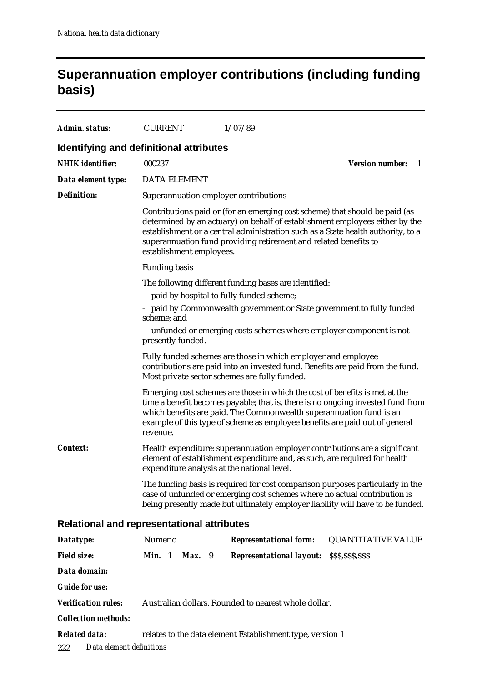#### **Superannuation employer contributions (including funding basis)**

| Admin. status:                                    | <b>CURRENT</b>                                                                                                                                                                                   |                                                                                                                                                                                                                                                                                                                                                 | 1/07/89                                                                                                                                                                                                                                                                                                              |                              |  |  |  |
|---------------------------------------------------|--------------------------------------------------------------------------------------------------------------------------------------------------------------------------------------------------|-------------------------------------------------------------------------------------------------------------------------------------------------------------------------------------------------------------------------------------------------------------------------------------------------------------------------------------------------|----------------------------------------------------------------------------------------------------------------------------------------------------------------------------------------------------------------------------------------------------------------------------------------------------------------------|------------------------------|--|--|--|
| <b>Identifying and definitional attributes</b>    |                                                                                                                                                                                                  |                                                                                                                                                                                                                                                                                                                                                 |                                                                                                                                                                                                                                                                                                                      |                              |  |  |  |
| <b>NHIK</b> identifier:                           | 000237                                                                                                                                                                                           |                                                                                                                                                                                                                                                                                                                                                 |                                                                                                                                                                                                                                                                                                                      | <b>Version number:</b><br>-1 |  |  |  |
| Data element type:                                | <b>DATA ELEMENT</b>                                                                                                                                                                              |                                                                                                                                                                                                                                                                                                                                                 |                                                                                                                                                                                                                                                                                                                      |                              |  |  |  |
| <b>Definition:</b>                                |                                                                                                                                                                                                  |                                                                                                                                                                                                                                                                                                                                                 | Superannuation employer contributions                                                                                                                                                                                                                                                                                |                              |  |  |  |
|                                                   |                                                                                                                                                                                                  | Contributions paid or (for an emerging cost scheme) that should be paid (as<br>determined by an actuary) on behalf of establishment employees either by the<br>establishment or a central administration such as a State health authority, to a<br>superannuation fund providing retirement and related benefits to<br>establishment employees. |                                                                                                                                                                                                                                                                                                                      |                              |  |  |  |
|                                                   | <b>Funding basis</b>                                                                                                                                                                             |                                                                                                                                                                                                                                                                                                                                                 |                                                                                                                                                                                                                                                                                                                      |                              |  |  |  |
|                                                   | scheme; and                                                                                                                                                                                      | The following different funding bases are identified:<br>paid by hospital to fully funded scheme;<br>- paid by Commonwealth government or State government to fully funded<br>- unfunded or emerging costs schemes where employer component is not                                                                                              |                                                                                                                                                                                                                                                                                                                      |                              |  |  |  |
|                                                   | presently funded.                                                                                                                                                                                |                                                                                                                                                                                                                                                                                                                                                 |                                                                                                                                                                                                                                                                                                                      |                              |  |  |  |
|                                                   | Fully funded schemes are those in which employer and employee<br>contributions are paid into an invested fund. Benefits are paid from the fund.<br>Most private sector schemes are fully funded. |                                                                                                                                                                                                                                                                                                                                                 |                                                                                                                                                                                                                                                                                                                      |                              |  |  |  |
|                                                   | revenue.                                                                                                                                                                                         |                                                                                                                                                                                                                                                                                                                                                 | Emerging cost schemes are those in which the cost of benefits is met at the<br>time a benefit becomes payable; that is, there is no ongoing invested fund from<br>which benefits are paid. The Commonwealth superannuation fund is an<br>example of this type of scheme as employee benefits are paid out of general |                              |  |  |  |
| <b>Context:</b>                                   |                                                                                                                                                                                                  |                                                                                                                                                                                                                                                                                                                                                 | Health expenditure: superannuation employer contributions are a significant<br>element of establishment expenditure and, as such, are required for health<br>expenditure analysis at the national level.                                                                                                             |                              |  |  |  |
|                                                   |                                                                                                                                                                                                  |                                                                                                                                                                                                                                                                                                                                                 | The funding basis is required for cost comparison purposes particularly in the<br>case of unfunded or emerging cost schemes where no actual contribution is<br>being presently made but ultimately employer liability will have to be funded.                                                                        |                              |  |  |  |
| <b>Relational and representational attributes</b> |                                                                                                                                                                                                  |                                                                                                                                                                                                                                                                                                                                                 |                                                                                                                                                                                                                                                                                                                      |                              |  |  |  |
| Datatype:                                         | Numeric                                                                                                                                                                                          |                                                                                                                                                                                                                                                                                                                                                 | <b>Representational form:</b>                                                                                                                                                                                                                                                                                        | <b>QUANTITATIVE VALUE</b>    |  |  |  |
| <b>Field size:</b>                                | Min. 1<br>$Max.$ 9                                                                                                                                                                               |                                                                                                                                                                                                                                                                                                                                                 | <b>Representational layout:</b>                                                                                                                                                                                                                                                                                      | \$\$\$,\$\$\$,\$\$\$         |  |  |  |
| Data domain:                                      |                                                                                                                                                                                                  |                                                                                                                                                                                                                                                                                                                                                 |                                                                                                                                                                                                                                                                                                                      |                              |  |  |  |
| <b>Guide for use:</b>                             |                                                                                                                                                                                                  |                                                                                                                                                                                                                                                                                                                                                 |                                                                                                                                                                                                                                                                                                                      |                              |  |  |  |
| <b>Verification rules:</b>                        |                                                                                                                                                                                                  |                                                                                                                                                                                                                                                                                                                                                 | Australian dollars. Rounded to nearest whole dollar.                                                                                                                                                                                                                                                                 |                              |  |  |  |
| <b>Collection methods:</b>                        |                                                                                                                                                                                                  |                                                                                                                                                                                                                                                                                                                                                 |                                                                                                                                                                                                                                                                                                                      |                              |  |  |  |
| <b>Related data:</b>                              | relates to the data element Establishment type, version 1                                                                                                                                        |                                                                                                                                                                                                                                                                                                                                                 |                                                                                                                                                                                                                                                                                                                      |                              |  |  |  |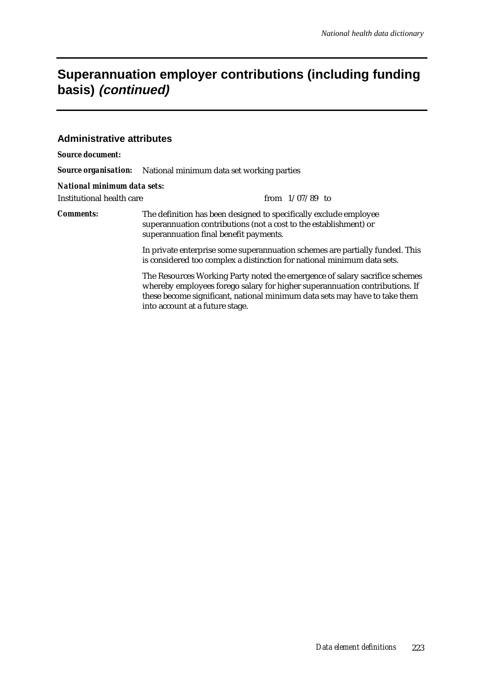#### **Superannuation employer contributions (including funding basis) (continued)**

#### **Administrative attributes**

| <b>Source document:</b>     |                                                                                                                                                                                                                                                                             |  |  |  |  |
|-----------------------------|-----------------------------------------------------------------------------------------------------------------------------------------------------------------------------------------------------------------------------------------------------------------------------|--|--|--|--|
|                             | <b>Source organisation:</b> National minimum data set working parties                                                                                                                                                                                                       |  |  |  |  |
| National minimum data sets: |                                                                                                                                                                                                                                                                             |  |  |  |  |
| Institutional health care   | from $1/07/89$ to                                                                                                                                                                                                                                                           |  |  |  |  |
| <b>Comments:</b>            | The definition has been designed to specifically exclude employee<br>superannuation contributions (not a cost to the establishment) or<br>superannuation final benefit payments.                                                                                            |  |  |  |  |
|                             | In private enterprise some superannuation schemes are partially funded. This<br>is considered too complex a distinction for national minimum data sets.                                                                                                                     |  |  |  |  |
|                             | The Resources Working Party noted the emergence of salary sacrifice schemes<br>whereby employees forego salary for higher superannuation contributions. If<br>these become significant, national minimum data sets may have to take them<br>into account at a future stage. |  |  |  |  |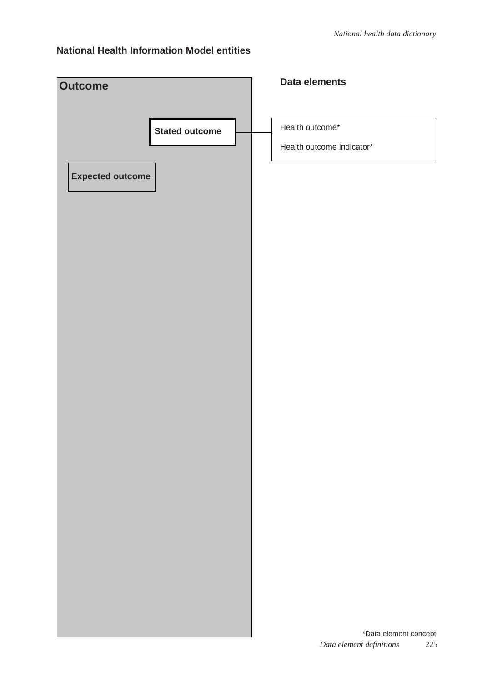#### **National Health Information Model entities**

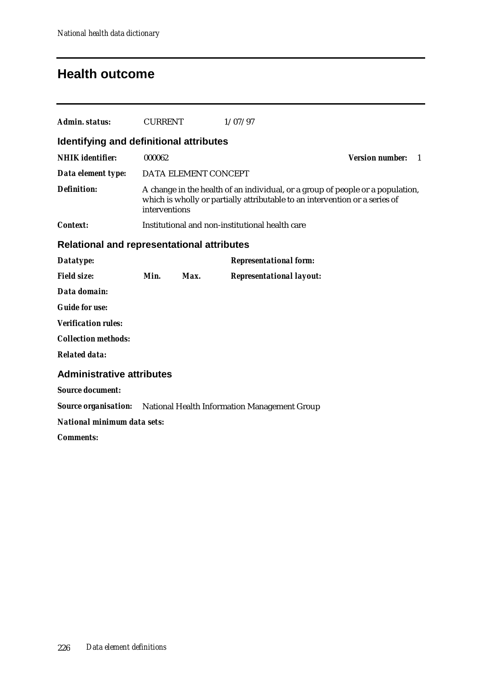#### **Health outcome**

| Admin. status:                                    | <b>CURRENT</b> |                      | 1/07/97                                                                                                                                                       |                                        |
|---------------------------------------------------|----------------|----------------------|---------------------------------------------------------------------------------------------------------------------------------------------------------------|----------------------------------------|
| Identifying and definitional attributes           |                |                      |                                                                                                                                                               |                                        |
| <b>NHIK</b> identifier:                           | 000062         |                      |                                                                                                                                                               | <b>Version number:</b><br>$\mathbf{1}$ |
| Data element type:                                |                | DATA ELEMENT CONCEPT |                                                                                                                                                               |                                        |
| <b>Definition:</b>                                | interventions  |                      | A change in the health of an individual, or a group of people or a population,<br>which is wholly or partially attributable to an intervention or a series of |                                        |
| <b>Context:</b>                                   |                |                      | Institutional and non-institutional health care                                                                                                               |                                        |
| <b>Relational and representational attributes</b> |                |                      |                                                                                                                                                               |                                        |
| Datatype:                                         |                |                      | <b>Representational form:</b>                                                                                                                                 |                                        |
| <b>Field size:</b>                                | Min.           | Max.                 | <b>Representational layout:</b>                                                                                                                               |                                        |
| Data domain:                                      |                |                      |                                                                                                                                                               |                                        |
| <b>Guide for use:</b>                             |                |                      |                                                                                                                                                               |                                        |
| <b>Verification rules:</b>                        |                |                      |                                                                                                                                                               |                                        |
| <b>Collection methods:</b>                        |                |                      |                                                                                                                                                               |                                        |
| <b>Related data:</b>                              |                |                      |                                                                                                                                                               |                                        |
| <b>Administrative attributes</b>                  |                |                      |                                                                                                                                                               |                                        |
| <b>Source document:</b>                           |                |                      |                                                                                                                                                               |                                        |
|                                                   |                |                      | <b>Source organisation:</b> National Health Information Management Group                                                                                      |                                        |
| National minimum data sets:                       |                |                      |                                                                                                                                                               |                                        |
| <b>Comments:</b>                                  |                |                      |                                                                                                                                                               |                                        |
|                                                   |                |                      |                                                                                                                                                               |                                        |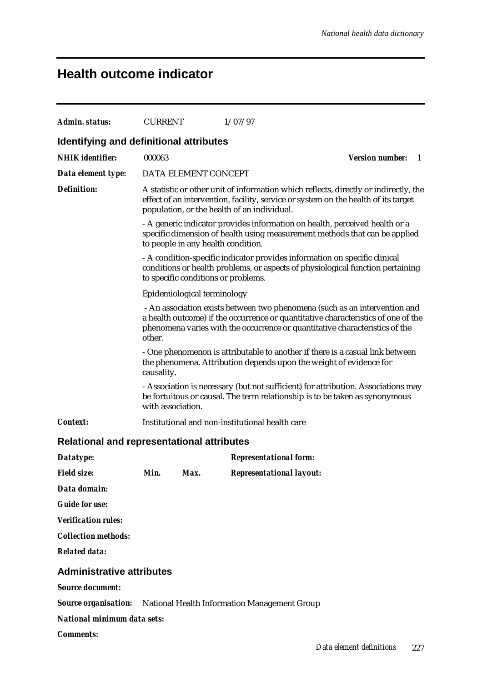#### **Health outcome indicator**

| Admin. status:                                    | <b>CURRENT</b>                                                                                                                                                                                                            |                                     | 1/07/97                                                                                                                                                                                                                                        |                        |   |
|---------------------------------------------------|---------------------------------------------------------------------------------------------------------------------------------------------------------------------------------------------------------------------------|-------------------------------------|------------------------------------------------------------------------------------------------------------------------------------------------------------------------------------------------------------------------------------------------|------------------------|---|
| Identifying and definitional attributes           |                                                                                                                                                                                                                           |                                     |                                                                                                                                                                                                                                                |                        |   |
| <b>NHIK</b> identifier:                           | 000063                                                                                                                                                                                                                    |                                     |                                                                                                                                                                                                                                                | <b>Version number:</b> | 1 |
| Data element type:                                |                                                                                                                                                                                                                           | DATA ELEMENT CONCEPT                |                                                                                                                                                                                                                                                |                        |   |
| <b>Definition:</b>                                | A statistic or other unit of information which reflects, directly or indirectly, the<br>effect of an intervention, facility, service or system on the health of its target<br>population, or the health of an individual. |                                     |                                                                                                                                                                                                                                                |                        |   |
|                                                   |                                                                                                                                                                                                                           | to people in any health condition.  | - A generic indicator provides information on health, perceived health or a<br>specific dimension of health using measurement methods that can be applied                                                                                      |                        |   |
|                                                   |                                                                                                                                                                                                                           | to specific conditions or problems. | - A condition-specific indicator provides information on specific clinical<br>conditions or health problems, or aspects of physiological function pertaining                                                                                   |                        |   |
|                                                   |                                                                                                                                                                                                                           | Epidemiological terminology         |                                                                                                                                                                                                                                                |                        |   |
|                                                   | other.                                                                                                                                                                                                                    |                                     | - An association exists between two phenomena (such as an intervention and<br>a health outcome) if the occurrence or quantitative characteristics of one of the<br>phenomena varies with the occurrence or quantitative characteristics of the |                        |   |
|                                                   | causality.                                                                                                                                                                                                                |                                     | - One phenomenon is attributable to another if there is a casual link between<br>the phenomena. Attribution depends upon the weight of evidence for                                                                                            |                        |   |
|                                                   | with association.                                                                                                                                                                                                         |                                     | - Association is necessary (but not sufficient) for attribution. Associations may<br>be fortuitous or causal. The term relationship is to be taken as synonymous                                                                               |                        |   |
| <b>Context:</b>                                   |                                                                                                                                                                                                                           |                                     | Institutional and non-institutional health care                                                                                                                                                                                                |                        |   |
| <b>Relational and representational attributes</b> |                                                                                                                                                                                                                           |                                     |                                                                                                                                                                                                                                                |                        |   |
| Datatype:                                         |                                                                                                                                                                                                                           |                                     | <b>Representational form:</b>                                                                                                                                                                                                                  |                        |   |
| <b>Field size:</b>                                | Min.                                                                                                                                                                                                                      | Max.                                | <b>Representational layout:</b>                                                                                                                                                                                                                |                        |   |
| Data domain:                                      |                                                                                                                                                                                                                           |                                     |                                                                                                                                                                                                                                                |                        |   |
| <b>Guide for use:</b>                             |                                                                                                                                                                                                                           |                                     |                                                                                                                                                                                                                                                |                        |   |
| <b>Verification rules:</b>                        |                                                                                                                                                                                                                           |                                     |                                                                                                                                                                                                                                                |                        |   |
| <b>Collection methods:</b>                        |                                                                                                                                                                                                                           |                                     |                                                                                                                                                                                                                                                |                        |   |
| <b>Related data:</b>                              |                                                                                                                                                                                                                           |                                     |                                                                                                                                                                                                                                                |                        |   |
| <b>Administrative attributes</b>                  |                                                                                                                                                                                                                           |                                     |                                                                                                                                                                                                                                                |                        |   |
| <b>Source document:</b>                           |                                                                                                                                                                                                                           |                                     |                                                                                                                                                                                                                                                |                        |   |
|                                                   |                                                                                                                                                                                                                           |                                     | <b>Source organisation:</b> National Health Information Management Group                                                                                                                                                                       |                        |   |
| <b>National minimum data sets:</b>                |                                                                                                                                                                                                                           |                                     |                                                                                                                                                                                                                                                |                        |   |
| <b>Comments:</b>                                  |                                                                                                                                                                                                                           |                                     |                                                                                                                                                                                                                                                |                        |   |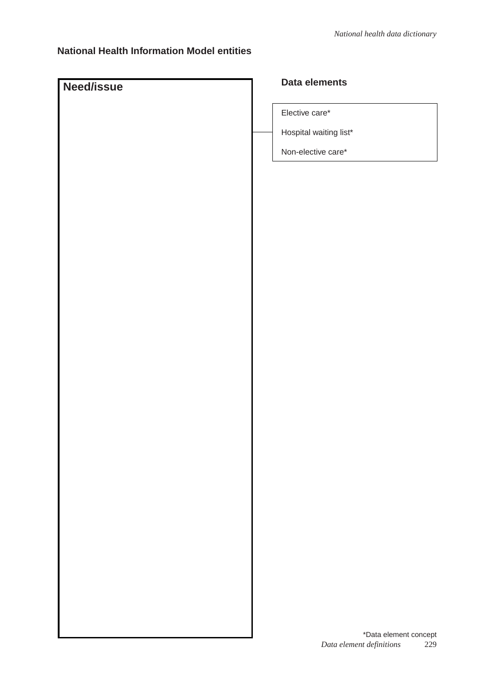#### **National Health Information Model entities**

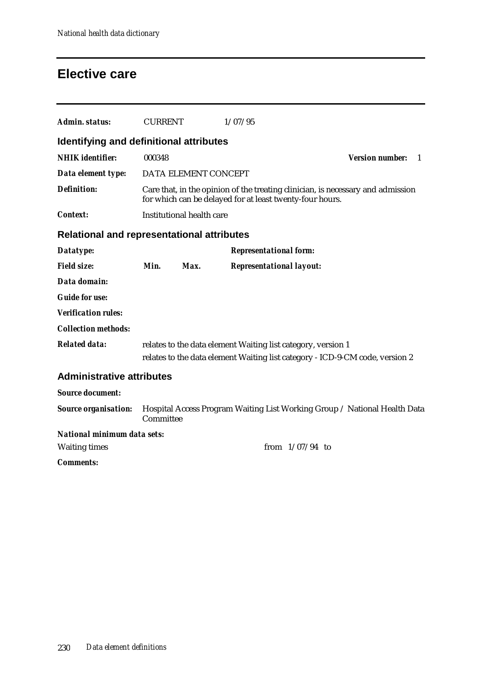#### **Elective care**

| Admin. status:                                    | <b>CURRENT</b> |                           | 1/07/95                                                                                                                                     |                        |   |
|---------------------------------------------------|----------------|---------------------------|---------------------------------------------------------------------------------------------------------------------------------------------|------------------------|---|
| Identifying and definitional attributes           |                |                           |                                                                                                                                             |                        |   |
| <b>NHIK</b> identifier:                           | 000348         |                           |                                                                                                                                             | <b>Version number:</b> | 1 |
| Data element type:                                |                | DATA ELEMENT CONCEPT      |                                                                                                                                             |                        |   |
| <b>Definition:</b>                                |                |                           | Care that, in the opinion of the treating clinician, is necessary and admission<br>for which can be delayed for at least twenty-four hours. |                        |   |
| <b>Context:</b>                                   |                | Institutional health care |                                                                                                                                             |                        |   |
| <b>Relational and representational attributes</b> |                |                           |                                                                                                                                             |                        |   |
| Datatype:                                         |                |                           | <b>Representational form:</b>                                                                                                               |                        |   |
| <b>Field size:</b>                                | Min.           | Max.                      | <b>Representational layout:</b>                                                                                                             |                        |   |
| Data domain:                                      |                |                           |                                                                                                                                             |                        |   |
| <b>Guide for use:</b>                             |                |                           |                                                                                                                                             |                        |   |
| <b>Verification rules:</b>                        |                |                           |                                                                                                                                             |                        |   |
| <b>Collection methods:</b>                        |                |                           |                                                                                                                                             |                        |   |
| <b>Related data:</b>                              |                |                           | relates to the data element Waiting list category, version 1                                                                                |                        |   |
|                                                   |                |                           | relates to the data element Waiting list category - ICD-9-CM code, version 2                                                                |                        |   |
| <b>Administrative attributes</b>                  |                |                           |                                                                                                                                             |                        |   |
| <b>Source document:</b>                           |                |                           |                                                                                                                                             |                        |   |
| <b>Source organisation:</b>                       | Committee      |                           | Hospital Access Program Waiting List Working Group / National Health Data                                                                   |                        |   |
| National minimum data sets:                       |                |                           |                                                                                                                                             |                        |   |
| <b>Waiting times</b>                              |                |                           | from $1/07/94$ to                                                                                                                           |                        |   |
| <b>Comments:</b>                                  |                |                           |                                                                                                                                             |                        |   |
|                                                   |                |                           |                                                                                                                                             |                        |   |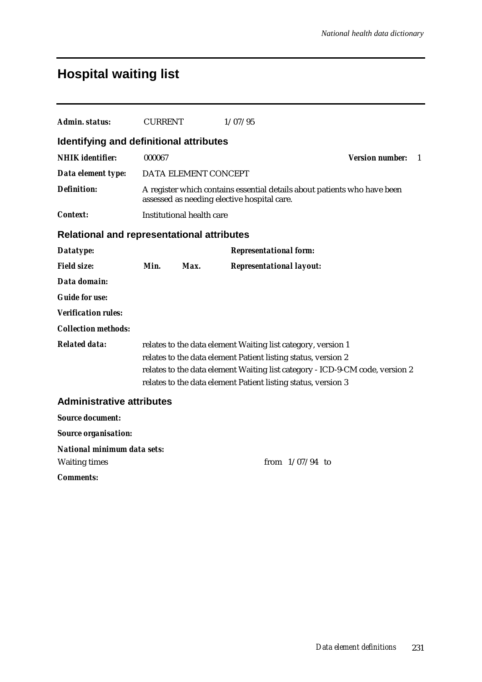## **Hospital waiting list**

| <b>Admin. status:</b>                                      | <b>CURRENT</b> |                                             | 1/07/95 |                                                                                                                                                                                                                                                                                |                                        |
|------------------------------------------------------------|----------------|---------------------------------------------|---------|--------------------------------------------------------------------------------------------------------------------------------------------------------------------------------------------------------------------------------------------------------------------------------|----------------------------------------|
| <b>Identifying and definitional attributes</b>             |                |                                             |         |                                                                                                                                                                                                                                                                                |                                        |
| <b>NHIK</b> identifier:                                    | 000067         |                                             |         |                                                                                                                                                                                                                                                                                | <b>Version number:</b><br>$\mathbf{1}$ |
| Data element type:                                         |                | DATA ELEMENT CONCEPT                        |         |                                                                                                                                                                                                                                                                                |                                        |
| <b>Definition:</b>                                         |                | assessed as needing elective hospital care. |         | A register which contains essential details about patients who have been                                                                                                                                                                                                       |                                        |
| <i>Context:</i>                                            |                | <b>Institutional health care</b>            |         |                                                                                                                                                                                                                                                                                |                                        |
| Relational and representational attributes                 |                |                                             |         |                                                                                                                                                                                                                                                                                |                                        |
| Datatype:                                                  |                |                                             |         | <b>Representational form:</b>                                                                                                                                                                                                                                                  |                                        |
| <b>Field size:</b>                                         | Min.           | Max.                                        |         | <b>Representational layout:</b>                                                                                                                                                                                                                                                |                                        |
| Data domain:                                               |                |                                             |         |                                                                                                                                                                                                                                                                                |                                        |
| <b>Guide for use:</b>                                      |                |                                             |         |                                                                                                                                                                                                                                                                                |                                        |
| <b>Verification rules:</b>                                 |                |                                             |         |                                                                                                                                                                                                                                                                                |                                        |
| <b>Collection methods:</b>                                 |                |                                             |         |                                                                                                                                                                                                                                                                                |                                        |
| <b>Related data:</b>                                       |                |                                             |         | relates to the data element Waiting list category, version 1<br>relates to the data element Patient listing status, version 2<br>relates to the data element Waiting list category - ICD-9-CM code, version 2<br>relates to the data element Patient listing status, version 3 |                                        |
| <b>Administrative attributes</b>                           |                |                                             |         |                                                                                                                                                                                                                                                                                |                                        |
| <b>Source document:</b>                                    |                |                                             |         |                                                                                                                                                                                                                                                                                |                                        |
| <b>Source organisation:</b>                                |                |                                             |         |                                                                                                                                                                                                                                                                                |                                        |
| <b>National minimum data sets:</b><br><b>Waiting times</b> |                |                                             |         | from $1/07/94$ to                                                                                                                                                                                                                                                              |                                        |
| <b>Comments:</b>                                           |                |                                             |         |                                                                                                                                                                                                                                                                                |                                        |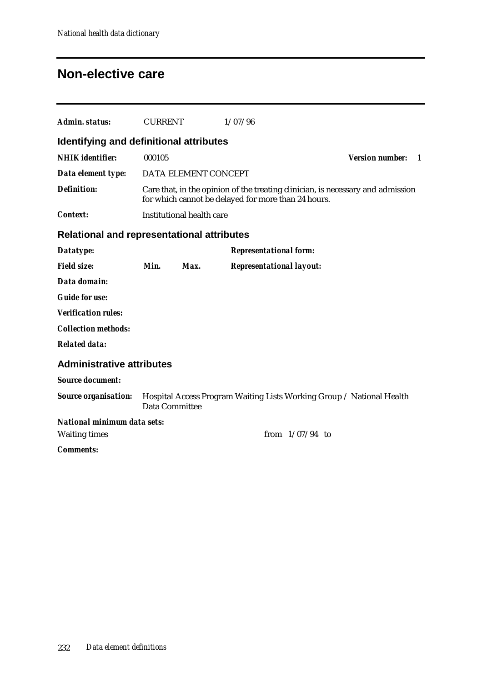#### **Non-elective care**

| Admin. status:                                    | <b>CURRENT</b> |                           | 1/07/96                                                                                                                                |                              |
|---------------------------------------------------|----------------|---------------------------|----------------------------------------------------------------------------------------------------------------------------------------|------------------------------|
| Identifying and definitional attributes           |                |                           |                                                                                                                                        |                              |
| <b>NHIK</b> identifier:                           | 000105         |                           |                                                                                                                                        | <b>Version number:</b><br>-1 |
| Data element type:                                |                | DATA ELEMENT CONCEPT      |                                                                                                                                        |                              |
| <b>Definition:</b>                                |                |                           | Care that, in the opinion of the treating clinician, is necessary and admission<br>for which cannot be delayed for more than 24 hours. |                              |
| <b>Context:</b>                                   |                | Institutional health care |                                                                                                                                        |                              |
| <b>Relational and representational attributes</b> |                |                           |                                                                                                                                        |                              |
| Datatype:                                         |                |                           | <b>Representational form:</b>                                                                                                          |                              |
| <b>Field size:</b>                                | Min.           | Max.                      | <b>Representational layout:</b>                                                                                                        |                              |
| Data domain:                                      |                |                           |                                                                                                                                        |                              |
| <b>Guide for use:</b>                             |                |                           |                                                                                                                                        |                              |
| <b>Verification rules:</b>                        |                |                           |                                                                                                                                        |                              |
| <b>Collection methods:</b>                        |                |                           |                                                                                                                                        |                              |
| <b>Related data:</b>                              |                |                           |                                                                                                                                        |                              |
| <b>Administrative attributes</b>                  |                |                           |                                                                                                                                        |                              |
| <b>Source document:</b>                           |                |                           |                                                                                                                                        |                              |
| <b>Source organisation:</b>                       | Data Committee |                           | Hospital Access Program Waiting Lists Working Group / National Health                                                                  |                              |
| National minimum data sets:                       |                |                           |                                                                                                                                        |                              |
| <b>Waiting times</b>                              |                |                           | from $1/07/94$ to                                                                                                                      |                              |
| <b>Comments:</b>                                  |                |                           |                                                                                                                                        |                              |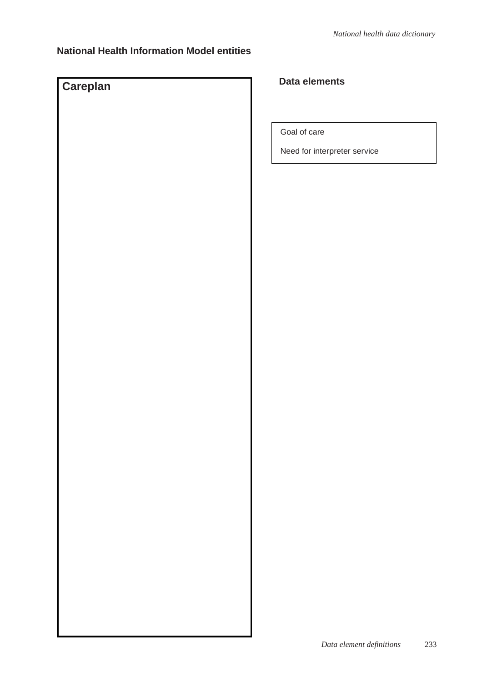#### **National Health Information Model entities**

# **Careplan Data elements**

Goal of care

Need for interpreter service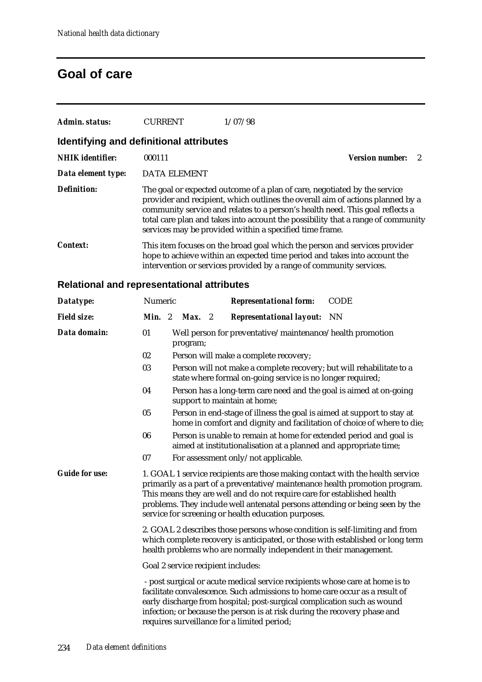#### **Goal of care**

| Admin. status:                          | <b>CURRENT</b>      | 1/07/98                                                                                                                              |                                                                                                                                                                                                                                                     |
|-----------------------------------------|---------------------|--------------------------------------------------------------------------------------------------------------------------------------|-----------------------------------------------------------------------------------------------------------------------------------------------------------------------------------------------------------------------------------------------------|
| Identifying and definitional attributes |                     |                                                                                                                                      |                                                                                                                                                                                                                                                     |
| <b>NHIK</b> identifier:                 | 000111              |                                                                                                                                      | <b>Version number:</b>                                                                                                                                                                                                                              |
| Data element type:                      | <b>DATA ELEMENT</b> |                                                                                                                                      |                                                                                                                                                                                                                                                     |
| <b>Definition:</b>                      |                     | The goal or expected outcome of a plan of care, negotiated by the service<br>services may be provided within a specified time frame. | provider and recipient, which outlines the overall aim of actions planned by a<br>community service and relates to a person's health need. This goal reflects a<br>total care plan and takes into account the possibility that a range of community |
| Context:                                |                     | intervention or services provided by a range of community services.                                                                  | This item focuses on the broad goal which the person and services provider<br>hope to achieve within an expected time period and takes into account the                                                                                             |

#### **Relational and representational attributes**

| Datatype:             | <b>CODE</b><br>Numeric<br><b>Representational form:</b>                                                                                                                                                                                                                                                                                                                        |  |  |  |  |
|-----------------------|--------------------------------------------------------------------------------------------------------------------------------------------------------------------------------------------------------------------------------------------------------------------------------------------------------------------------------------------------------------------------------|--|--|--|--|
| <b>Field size:</b>    | Min. 2<br>Max.<br>$\overline{\mathbf{2}}$<br><b>Representational layout:</b> NN                                                                                                                                                                                                                                                                                                |  |  |  |  |
| Data domain:          | 01<br>Well person for preventative/maintenance/health promotion<br>program;                                                                                                                                                                                                                                                                                                    |  |  |  |  |
|                       | 02<br>Person will make a complete recovery;                                                                                                                                                                                                                                                                                                                                    |  |  |  |  |
|                       | 03<br>Person will not make a complete recovery; but will rehabilitate to a<br>state where formal on-going service is no longer required;                                                                                                                                                                                                                                       |  |  |  |  |
|                       | 04<br>Person has a long-term care need and the goal is aimed at on-going<br>support to maintain at home;                                                                                                                                                                                                                                                                       |  |  |  |  |
|                       | 05<br>Person in end-stage of illness the goal is aimed at support to stay at<br>home in comfort and dignity and facilitation of choice of where to die;                                                                                                                                                                                                                        |  |  |  |  |
|                       | 06<br>Person is unable to remain at home for extended period and goal is<br>aimed at institutionalisation at a planned and appropriate time;                                                                                                                                                                                                                                   |  |  |  |  |
|                       | 07<br>For assessment only/not applicable.                                                                                                                                                                                                                                                                                                                                      |  |  |  |  |
| <b>Guide for use:</b> | 1. GOAL 1 service recipients are those making contact with the health service<br>primarily as a part of a preventative/maintenance health promotion program.<br>This means they are well and do not require care for established health<br>problems. They include well antenatal persons attending or being seen by the<br>service for screening or health education purposes. |  |  |  |  |
|                       | 2. GOAL 2 describes those persons whose condition is self-limiting and from<br>which complete recovery is anticipated, or those with established or long term<br>health problems who are normally independent in their management.                                                                                                                                             |  |  |  |  |
|                       | Goal 2 service recipient includes:                                                                                                                                                                                                                                                                                                                                             |  |  |  |  |
|                       | - post surgical or acute medical service recipients whose care at home is to<br>facilitate convalescence. Such admissions to home care occur as a result of<br>early discharge from hospital; post-surgical complication such as wound<br>infection; or because the person is at risk during the recovery phase and<br>requires surveillance for a limited period;             |  |  |  |  |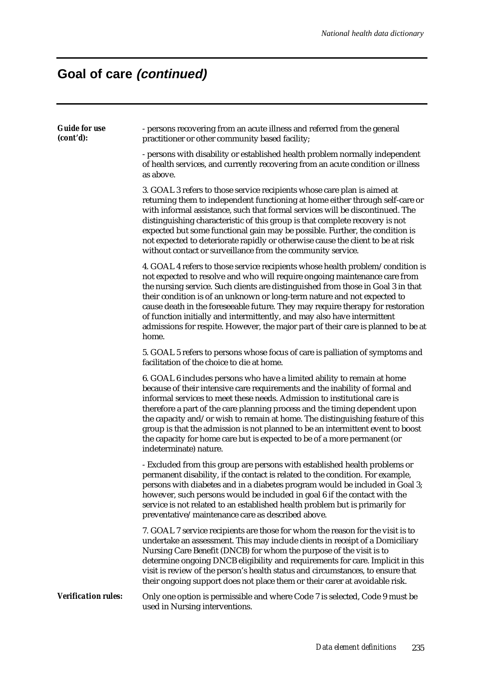## **Goal of care (continued)**

| <b>Guide for use</b><br>(cont'd): | - persons recovering from an acute illness and referred from the general<br>practitioner or other community based facility;                                                                                                                                                                                                                                                                                                                                                                                                                                                                    |
|-----------------------------------|------------------------------------------------------------------------------------------------------------------------------------------------------------------------------------------------------------------------------------------------------------------------------------------------------------------------------------------------------------------------------------------------------------------------------------------------------------------------------------------------------------------------------------------------------------------------------------------------|
|                                   | - persons with disability or established health problem normally independent<br>of health services, and currently recovering from an acute condition or illness<br>as above.                                                                                                                                                                                                                                                                                                                                                                                                                   |
|                                   | 3. GOAL 3 refers to those service recipients whose care plan is aimed at<br>returning them to independent functioning at home either through self-care or<br>with informal assistance, such that formal services will be discontinued. The<br>distinguishing characteristic of this group is that complete recovery is not<br>expected but some functional gain may be possible. Further, the condition is<br>not expected to deteriorate rapidly or otherwise cause the client to be at risk<br>without contact or surveillance from the community service.                                   |
|                                   | 4. GOAL 4 refers to those service recipients whose health problem/condition is<br>not expected to resolve and who will require ongoing maintenance care from<br>the nursing service. Such clients are distinguished from those in Goal 3 in that<br>their condition is of an unknown or long-term nature and not expected to<br>cause death in the foreseeable future. They may require therapy for restoration<br>of function initially and intermittently, and may also have intermittent<br>admissions for respite. However, the major part of their care is planned to be at<br>home.      |
|                                   | 5. GOAL 5 refers to persons whose focus of care is palliation of symptoms and<br>facilitation of the choice to die at home.                                                                                                                                                                                                                                                                                                                                                                                                                                                                    |
|                                   | 6. GOAL 6 includes persons who have a limited ability to remain at home<br>because of their intensive care requirements and the inability of formal and<br>informal services to meet these needs. Admission to institutional care is<br>therefore a part of the care planning process and the timing dependent upon<br>the capacity and/or wish to remain at home. The distinguishing feature of this<br>group is that the admission is not planned to be an intermittent event to boost<br>the capacity for home care but is expected to be of a more permanent (or<br>indeterminate) nature. |
|                                   | - Excluded from this group are persons with established health problems or<br>permanent disability, if the contact is related to the condition. For example,<br>persons with diabetes and in a diabetes program would be included in Goal 3;<br>however, such persons would be included in goal 6 if the contact with the<br>service is not related to an established health problem but is primarily for<br>preventative/maintenance care as described above.                                                                                                                                 |
|                                   | 7. GOAL 7 service recipients are those for whom the reason for the visit is to<br>undertake an assessment. This may include clients in receipt of a Domiciliary<br>Nursing Care Benefit (DNCB) for whom the purpose of the visit is to<br>determine ongoing DNCB eligibility and requirements for care. Implicit in this<br>visit is review of the person's health status and circumstances, to ensure that<br>their ongoing support does not place them or their carer at avoidable risk.                                                                                                     |
| <b>Verification rules:</b>        | Only one option is permissible and where Code 7 is selected, Code 9 must be<br>used in Nursing interventions.                                                                                                                                                                                                                                                                                                                                                                                                                                                                                  |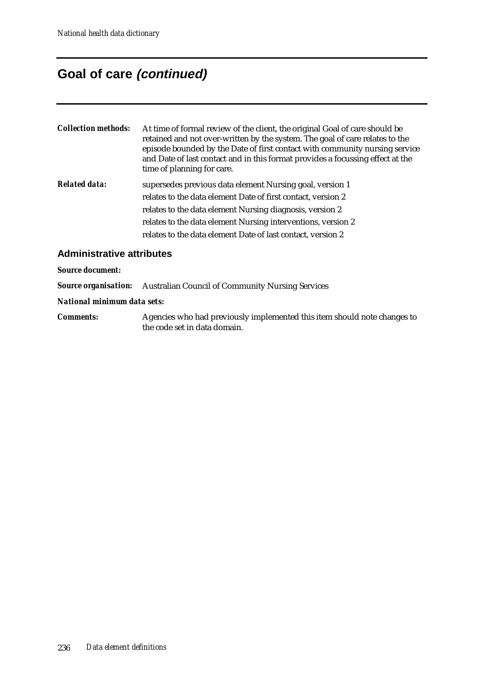#### **Goal of care (continued)**

| <b>Collection methods:</b> | At time of formal review of the client, the original Goal of care should be<br>retained and not over-written by the system. The goal of care relates to the<br>episode bounded by the Date of first contact with community nursing service<br>and Date of last contact and in this format provides a focussing effect at the<br>time of planning for care. |
|----------------------------|------------------------------------------------------------------------------------------------------------------------------------------------------------------------------------------------------------------------------------------------------------------------------------------------------------------------------------------------------------|
| <b>Related data:</b>       | supersedes previous data element Nursing goal, version 1<br>relates to the data element Date of first contact, version 2<br>relates to the data element Nursing diagnosis, version 2<br>relates to the data element Nursing interventions, version 2<br>relates to the data element Date of last contact, version 2                                        |
| Administrative studio res  |                                                                                                                                                                                                                                                                                                                                                            |

#### **Administrative attributes**

*Source document:*

*Source organisation:* Australian Council of Community Nursing Services

*National minimum data sets:*

*Comments:* Agencies who had previously implemented this item should note changes to the code set in data domain.